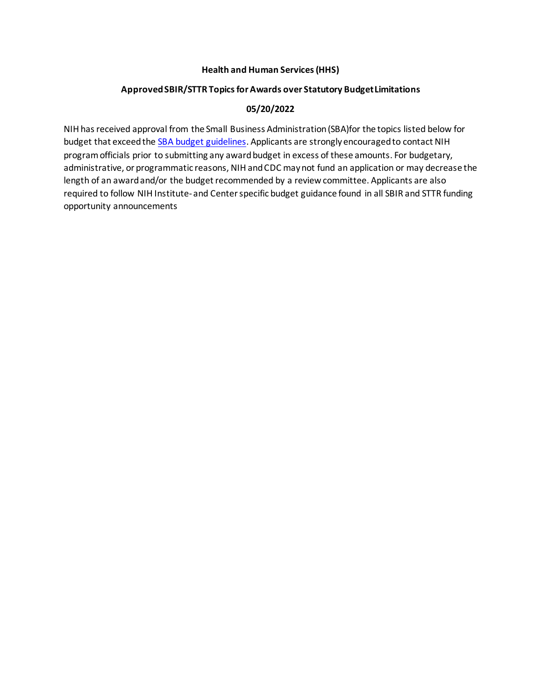### **Health and Human Services (HHS)**

## **Approved SBIR/STTR Topics for Awards over Statutory Budget Limitations**

## **05/20/2022**

NIH has received approval from the Small Business Administration (SBA)for the topics listed below for budget that exceed the **SBA budget guidelines**. Applicants are strongly encouraged to contact NIH program officials prior to submitting any award budget in excess of these amounts. For budgetary, administrative, or programmatic reasons, NIH and CDC may not fund an application or may decrease the length of an award and/or the budget recommended by a review committee. Applicants are also required to follow NIH Institute- and Center specific budget guidance found in all SBIR and STTR funding opportunity announcements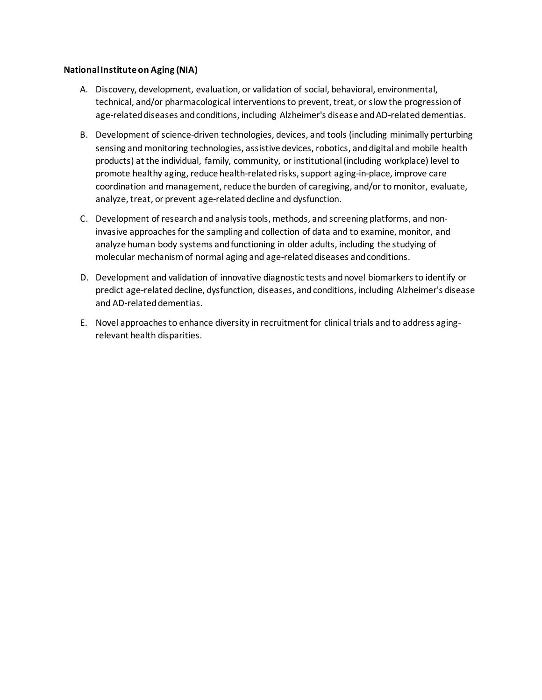### **National Institute on Aging (NIA)**

- A. Discovery, development, evaluation, or validation of social, behavioral, environmental, technical, and/or pharmacological interventions to prevent, treat, or slow the progression of age-related diseases and conditions, including Alzheimer's disease and AD-related dementias.
- B. Development of science-driven technologies, devices, and tools (including minimally perturbing sensing and monitoring technologies, assistive devices, robotics, and digital and mobile health products) at the individual, family, community, or institutional (including workplace) level to promote healthy aging, reduce health-related risks, support aging-in-place, improve care coordination and management, reduce the burden of caregiving, and/or to monitor, evaluate, analyze, treat, or prevent age-related decline and dysfunction.
- C. Development of research and analysis tools, methods, and screening platforms, and noninvasive approaches for the sampling and collection of data and to examine, monitor, and analyze human body systems and functioning in older adults, including the studying of molecular mechanism of normal aging and age-related diseases and conditions.
- D. Development and validation of innovative diagnostic tests and novel biomarkers to identify or predict age-related decline, dysfunction, diseases, and conditions, including Alzheimer's disease and AD-related dementias.
- E. Novel approaches to enhance diversity in recruitment for clinical trials and to address agingrelevant health disparities.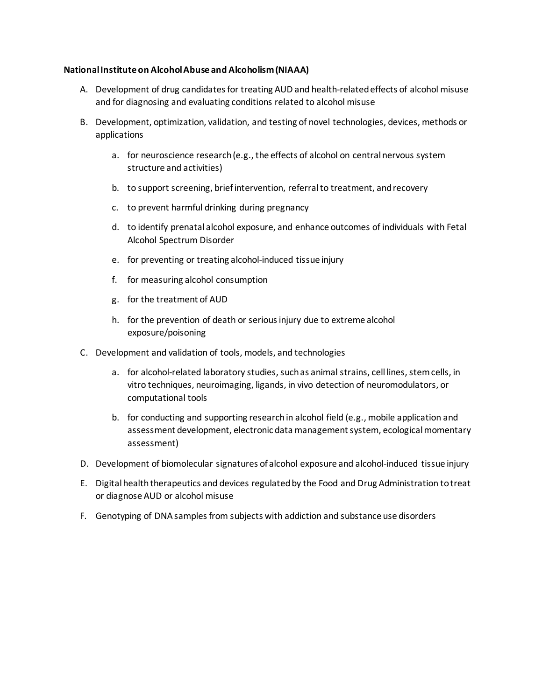### **National Institute on Alcohol Abuse and Alcoholism (NIAAA)**

- A. Development of drug candidates for treating AUD and health-related effects of alcohol misuse and for diagnosing and evaluating conditions related to alcohol misuse
- B. Development, optimization, validation, and testing of novel technologies, devices, methods or applications
	- a. for neuroscience research (e.g., the effects of alcohol on central nervous system structure and activities)
	- b. to support screening, brief intervention, referral to treatment, and recovery
	- c. to prevent harmful drinking during pregnancy
	- d. to identify prenatal alcohol exposure, and enhance outcomes of individuals with Fetal Alcohol Spectrum Disorder
	- e. for preventing or treating alcohol-induced tissue injury
	- f. for measuring alcohol consumption
	- g. for the treatment of AUD
	- h. for the prevention of death or serious injury due to extreme alcohol exposure/poisoning
- C. Development and validation of tools, models, and technologies
	- a. for alcohol-related laboratory studies, such as animal strains, cell lines, stem cells, in vitro techniques, neuroimaging, ligands, in vivo detection of neuromodulators, or computational tools
	- b. for conducting and supporting research in alcohol field (e.g., mobile application and assessment development, electronic data management system, ecological momentary assessment)
- D. Development of biomolecular signatures of alcohol exposure and alcohol-induced tissue injury
- E. Digital health therapeutics and devices regulated by the Food and Drug Administration to treat or diagnose AUD or alcohol misuse
- F. Genotyping of DNA samples from subjects with addiction and substance use disorders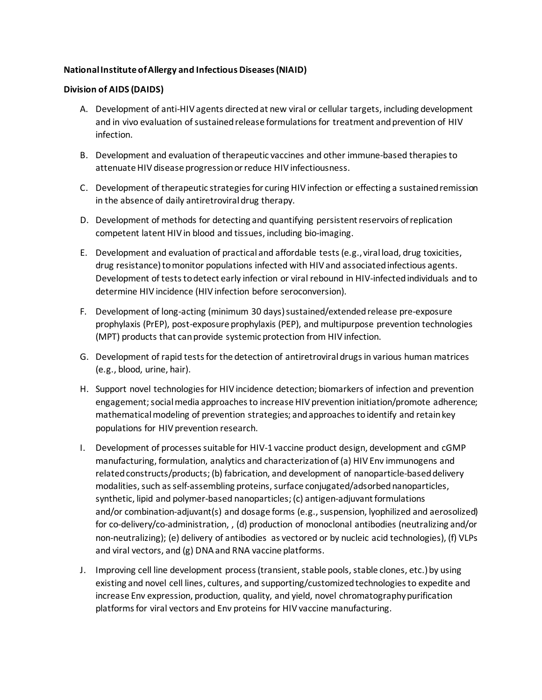## **National Institute of Allergy and Infectious Diseases (NIAID)**

### **Division of AIDS (DAIDS)**

- A. Development of anti-HIV agents directed at new viral or cellular targets, including development and in vivo evaluation of sustained release formulations for treatment and prevention of HIV infection.
- B. Development and evaluation of therapeutic vaccines and other immune-based therapies to attenuate HIV disease progression or reduce HIV infectiousness.
- C. Development of therapeutic strategies for curing HIV infection or effecting a sustained remission in the absence of daily antiretroviral drug therapy.
- D. Development of methods for detecting and quantifying persistent reservoirs of replication competent latent HIV in blood and tissues, including bio-imaging.
- E. Development and evaluation of practical and affordable tests (e.g., viral load, drug toxicities, drug resistance) to monitor populations infected with HIV and associated infectious agents. Development of tests to detect early infection or viral rebound in HIV-infected individuals and to determine HIV incidence (HIV infection before seroconversion).
- F. Development of long-acting (minimum 30 days) sustained/extended release pre-exposure prophylaxis (PrEP), post-exposure prophylaxis (PEP), and multipurpose prevention technologies (MPT) products that can provide systemic protection from HIV infection.
- G. Development of rapid tests for the detection of antiretroviral drugs in various human matrices (e.g., blood, urine, hair).
- H. Support novel technologies for HIV incidence detection; biomarkers of infection and prevention engagement; social media approaches to increase HIV prevention initiation/promote adherence; mathematical modeling of prevention strategies; and approaches to identify and retain key populations for HIV prevention research.
- I. Development of processes suitable for HIV-1 vaccine product design, development and cGMP manufacturing, formulation, analytics and characterization of (a) HIV Env immunogens and related constructs/products; (b) fabrication, and development of nanoparticle-based delivery modalities, such as self-assembling proteins, surface conjugated/adsorbed nanoparticles, synthetic, lipid and polymer-based nanoparticles; (c) antigen-adjuvant formulations and/or combination-adjuvant(s) and dosage forms (e.g., suspension, lyophilized and aerosolized) for co-delivery/co-administration, , (d) production of monoclonal antibodies (neutralizing and/or non-neutralizing); (e) delivery of antibodies  as vectored or by nucleic acid technologies), (f) VLPs and viral vectors, and (g) DNA and RNA vaccine platforms.
- J. Improving cell line development process (transient, stable pools, stable clones, etc.) by using existing and novel cell lines, cultures, and supporting/customized technologies to expedite and increase Env expression, production, quality, and yield, novel chromatography purification platforms for viral vectors and Env proteins for HIV vaccine manufacturing.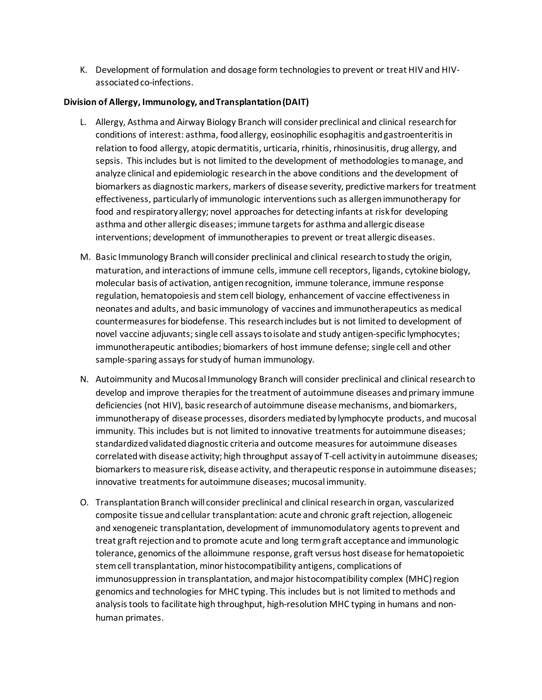K. Development of formulation and dosage form technologies to prevent or treat HIV and HIVassociated co-infections. 

### **Division of Allergy, Immunology, and Transplantation (DAIT)**

- L. Allergy, Asthma and Airway Biology Branch will consider preclinical and clinical research for conditions of interest: asthma, food allergy, eosinophilic esophagitis and gastroenteritis in relation to food allergy, atopic dermatitis, urticaria, rhinitis, rhinosinusitis, drug allergy, and sepsis.  This includes but is not limited to the development of methodologies to manage, and analyze clinical and epidemiologic research in the above conditions and the development of biomarkers as diagnostic markers, markers of disease severity, predictive markers for treatment effectiveness, particularly of immunologic interventions such as allergen immunotherapy for food and respiratory allergy; novel approaches for detecting infants at risk for developing asthma and other allergic diseases; immune targets for asthma and allergic disease interventions; development of immunotherapies to prevent or treat allergic diseases.
- M. Basic Immunology Branch will consider preclinical and clinical research to study the origin, maturation, and interactions of immune cells, immune cell receptors, ligands, cytokine biology, molecular basis of activation, antigen recognition, immune tolerance, immune response regulation, hematopoiesis and stem cell biology, enhancement of vaccine effectiveness in neonates and adults, and basic immunology of vaccines and immunotherapeutics as medical countermeasures for biodefense. This research includes but is not limited to development of novel vaccine adjuvants; single cell assays to isolate and study antigen-specific lymphocytes; immunotherapeutic antibodies; biomarkers of host immune defense; single cell and other sample-sparing assays for study of human immunology.
- N. Autoimmunity and Mucosal Immunology Branch will consider preclinical and clinical research to develop and improve therapies for the treatment of autoimmune diseases and primary immune deficiencies (not HIV), basic research of autoimmune disease mechanisms, and biomarkers, immunotherapy of disease processes, disorders mediated by lymphocyte products, and mucosal immunity. This includes but is not limited to innovative treatments for autoimmune diseases; standardized validated diagnostic criteria and outcome measures for autoimmune diseases correlated with disease activity; high throughput assay of T-cell activity in autoimmune diseases; biomarkers to measure risk, disease activity, and therapeutic response in autoimmune diseases; innovative treatments for autoimmune diseases; mucosal immunity.
- O. Transplantation Branch will consider preclinical and clinical research in organ, vascularized composite tissue and cellular transplantation: acute and chronic graft rejection, allogeneic and xenogeneic transplantation, development of immunomodulatory agents to prevent and treat graft rejection and to promote acute and long term graft acceptance and immunologic tolerance, genomics of the alloimmune response, graft versus host disease for hematopoietic stem cell transplantation, minor histocompatibility antigens, complications of immunosuppression in transplantation, and major histocompatibility complex (MHC) region genomics and technologies for MHC typing. This includes but is not limited to methods and analysis tools to facilitate high throughput, high-resolution MHC typing in humans and nonhuman primates.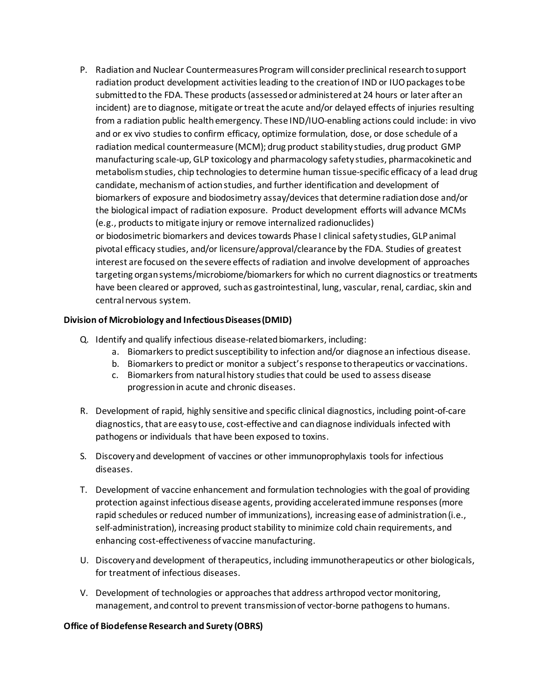P. Radiation and Nuclear Countermeasures Program will consider preclinical research to support radiation product development activities leading to the creation of IND or IUO packages to be submitted to the FDA. These products (assessed or administered at 24 hours or later after an incident) are to diagnose, mitigate or treat the acute and/or delayed effects of injuries resulting from a radiation public health emergency. These IND/IUO-enabling actions could include: in vivo and or ex vivo studies to confirm efficacy, optimize formulation, dose, or dose schedule of a radiation medical countermeasure (MCM); drug product stability studies, drug product GMP manufacturing scale-up, GLP toxicology and pharmacology safety studies, pharmacokinetic and metabolism studies, chip technologies to determine human tissue-specific efficacy of a lead drug candidate, mechanism of action studies, and further identification and development of biomarkers of exposure and biodosimetry assay/devices that determine radiation dose and/or the biological impact of radiation exposure.  Product development efforts will advance MCMs (e.g., products to mitigate injury or remove internalized radionuclides) or biodosimetric biomarkers and devices towards Phase I clinical safety studies, GLP animal pivotal efficacy studies, and/or licensure/approval/clearance by the FDA. Studies of greatest interest are focused on the severe effects of radiation and involve development of approaches targeting organ systems/microbiome/biomarkers for which no current diagnostics or treatments have been cleared or approved, such as gastrointestinal, lung, vascular, renal, cardiac, skin and

#### central nervous system.

### **Division of Microbiology and Infectious Diseases (DMID)**

- Q. Identify and qualify infectious disease-related biomarkers, including:
	- a. Biomarkers to predict susceptibility to infection and/or diagnose an infectious disease.
	- b. Biomarkers to predict or monitor a subject's response to therapeutics or vaccinations.
	- c. Biomarkers from natural history studies that could be used to assess disease progression in acute and chronic diseases.
- R. Development of rapid, highly sensitive and specific clinical diagnostics, including point-of-care diagnostics, that are easy to use, cost-effective and can diagnose individuals infected with pathogens or individuals that have been exposed to toxins.
- S. Discovery and development of vaccines or other immunoprophylaxis tools for infectious diseases.
- T. Development of vaccine enhancement and formulation technologies with the goal of providing protection against infectious disease agents, providing accelerated immune responses (more rapid schedules or reduced number of immunizations), increasing ease of administration (i.e., self-administration), increasing product stability to minimize cold chain requirements, and enhancing cost-effectiveness of vaccine manufacturing.
- U. Discovery and development of therapeutics, including immunotherapeutics or other biologicals, for treatment of infectious diseases.
- V. Development of technologies or approaches that address arthropod vector monitoring, management, and control to prevent transmission of vector-borne pathogens to humans.

#### **Office of Biodefense Research and Surety (OBRS)**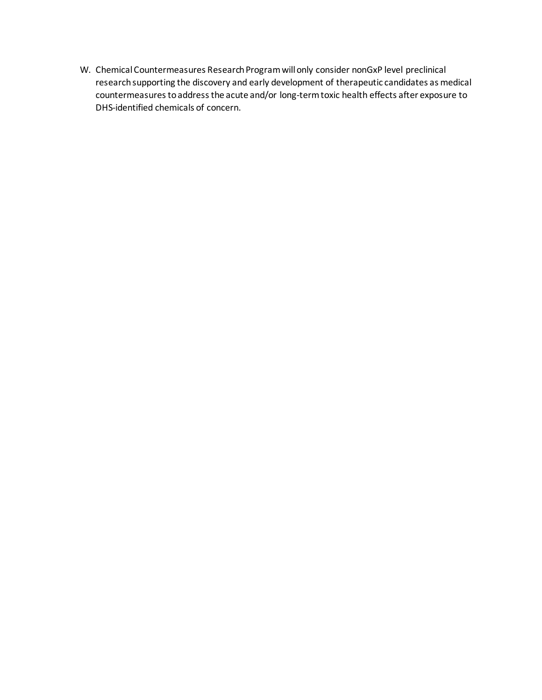W. Chemical Countermeasures Research Program will only consider nonGxP level preclinical research supporting the discovery and early development of therapeutic candidates as medical countermeasures to address the acute and/or long-term toxic health effects after exposure to DHS-identified chemicals of concern.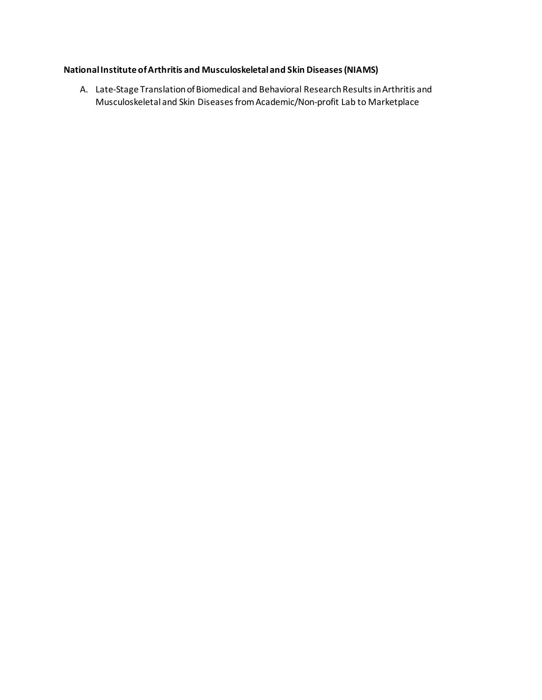# **National Institute of Arthritis and Musculoskeletal and Skin Diseases (NIAMS)**

A. Late-Stage Translation of Biomedical and Behavioral Research Results in Arthritis and Musculoskeletal and Skin Diseases from Academic/Non-profit Lab to Marketplace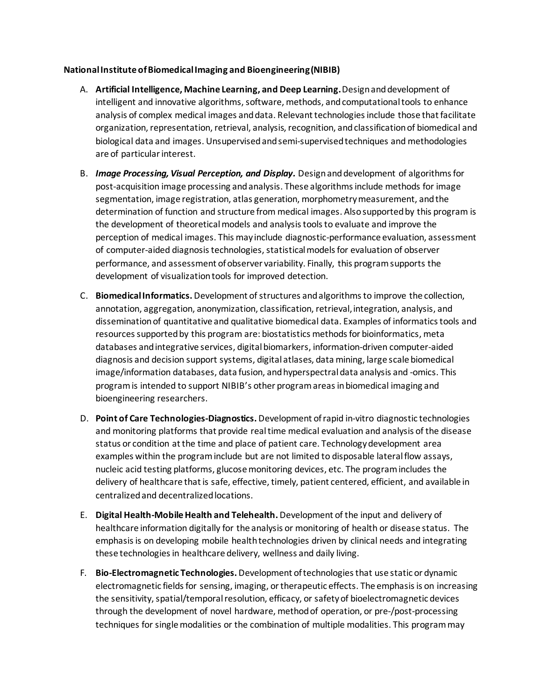### **National Institute of Biomedical Imaging and Bioengineering (NIBIB)**

- A. **Artificial Intelligence, Machine Learning, and Deep Learning.**Design and development of intelligent and innovative algorithms, software, methods, and computational tools to enhance analysis of complex medical images and data. Relevant technologies include those that facilitate organization, representation, retrieval, analysis, recognition, and classification of biomedical and biological data and images. Unsupervised and semi-supervised techniques and methodologies are of particular interest.
- B. *Image Processing, Visual Perception, and Display.* Design and development of algorithms for post-acquisition image processing and analysis. These algorithms include methods for image segmentation, image registration, atlas generation, morphometry measurement, and the determination of function and structure from medical images. Also supported by this program is the development of theoretical models and analysis tools to evaluate and improve the perception of medical images. This may include diagnostic-performance evaluation, assessment of computer-aided diagnosis technologies, statistical models for evaluation of observer performance, and assessment of observer variability. Finally, this program supports the development of visualization tools for improved detection.
- C. **Biomedical Informatics.** Development of structures and algorithms to improve the collection, annotation, aggregation, anonymization, classification, retrieval, integration, analysis, and dissemination of quantitative and qualitative biomedical data. Examples of informatics tools and resources supported by this program are: biostatistics methods for bioinformatics, meta databases and integrative services, digital biomarkers, information-driven computer-aided diagnosis and decision support systems, digital atlases, data mining, large scale biomedical image/information databases, data fusion, and hyperspectral data analysis and -omics. This program is intended to support NIBIB's other program areas in biomedical imaging and bioengineering researchers.
- D. **Point of Care Technologies-Diagnostics.** Development of rapid in-vitro diagnostic technologies and monitoring platforms that provide real time medical evaluation and analysis of the disease status or condition at the time and place of patient care. Technology development area examples within the program include but are not limited to disposable lateral flow assays, nucleic acid testing platforms, glucose monitoring devices, etc. The program includes the delivery of healthcare that is safe, effective, timely, patient centered, efficient, and available in centralized and decentralized locations.
- E. **Digital Health-Mobile Health and Telehealth.** Development of the input and delivery of healthcare information digitally for the analysis or monitoring of health or disease status.  The emphasis is on developing mobile health technologies driven by clinical needs and integrating these technologies in healthcare delivery, wellness and daily living.
- F. **Bio-Electromagnetic Technologies.** Development of technologies that use static or dynamic electromagnetic fields for sensing, imaging, or therapeutic effects. The emphasis is on increasing the sensitivity, spatial/temporal resolution, efficacy, or safety of bioelectromagnetic devices through the development of novel hardware, method of operation, or pre-/post-processing techniques for single modalities or the combination of multiple modalities. This program may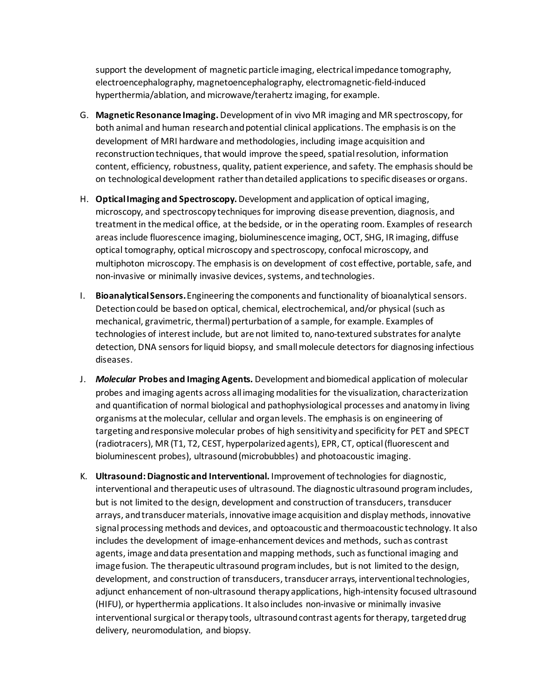support the development of magnetic particle imaging, electrical impedance tomography, electroencephalography, magnetoencephalography, electromagnetic-field-induced hyperthermia/ablation, and microwave/terahertz imaging, for example.

- G. **Magnetic Resonance Imaging.** Development of in vivo MR imaging and MR spectroscopy, for both animal and human research and potential clinical applications. The emphasis is on the development of MRI hardware and methodologies, including image acquisition and reconstruction techniques, that would improve the speed, spatial resolution, information content, efficiency, robustness, quality, patient experience, and safety. The emphasis should be on technological development rather than detailed applications to specific diseases or organs.
- H. **Optical Imaging and Spectroscopy.** Development and application of optical imaging, microscopy, and spectroscopy techniques for improving disease prevention, diagnosis, and treatment in the medical office, at the bedside, or in the operating room. Examples of research areas include fluorescence imaging, bioluminescence imaging, OCT, SHG, IR imaging, diffuse optical tomography, optical microscopy and spectroscopy, confocal microscopy, and multiphoton microscopy. The emphasis is on development of cost effective, portable, safe, and non-invasive or minimally invasive devices, systems, and technologies.
- I. **Bioanalytical Sensors.** Engineering the components and functionality of bioanalytical sensors. Detection could be based on optical, chemical, electrochemical, and/or physical (such as mechanical, gravimetric, thermal) perturbation of a sample, for example. Examples of technologies of interest include, but are not limited to, nano-textured substrates for analyte detection, DNA sensors for liquid biopsy, and small molecule detectors for diagnosing infectious diseases.
- J. *Molecular* **Probes and Imaging Agents***.* Development and biomedical application of molecular probes and imaging agents across all imaging modalities for the visualization, characterization and quantification of normal biological and pathophysiological processes and anatomy in living organisms at the molecular, cellular and organ levels. The emphasis is on engineering of targeting and responsive molecular probes of high sensitivity and specificity for PET and SPECT (radiotracers), MR (T1, T2, CEST, hyperpolarized agents), EPR, CT, optical (fluorescent and bioluminescent probes), ultrasound (microbubbles) and photoacoustic imaging.
- K. **Ultrasound: Diagnostic and Interventional.** Improvement of technologies for diagnostic, interventional and therapeutic uses of ultrasound. The diagnostic ultrasound program includes, but is not limited to the design, development and construction of transducers, transducer arrays, and transducer materials, innovative image acquisition and display methods, innovative signal processing methods and devices, and optoacoustic and thermoacoustic technology. It also includes the development of image-enhancement devices and methods, such as contrast agents, image and data presentation and mapping methods, such as functional imaging and image fusion. The therapeutic ultrasound program includes, but is not limited to the design, development, and construction of transducers, transducer arrays, interventional technologies, adjunct enhancement of non-ultrasound therapy applications, high-intensity focused ultrasound (HIFU), or hyperthermia applications. It also includes non-invasive or minimally invasive interventional surgical or therapy tools, ultrasound contrast agents for therapy, targeted drug delivery, neuromodulation, and biopsy.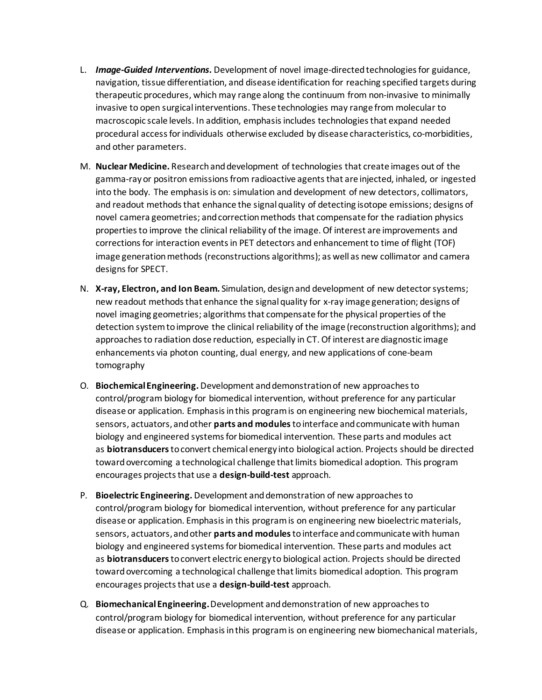- L. *Image-Guided Interventions.* Development of novel image-directed technologies for guidance, navigation, tissue differentiation, and disease identification for reaching specified targets during therapeutic procedures, which may range along the continuum from non-invasive to minimally invasive to open surgical interventions. These technologies may range from molecular to macroscopic scale levels. In addition, emphasis includes technologies that expand needed procedural access for individuals otherwise excluded by disease characteristics, co-morbidities, and other parameters.
- M. **Nuclear Medicine.** Research and development of technologies that create images out of the gamma-ray or positron emissions from radioactive agents that are injected, inhaled, or ingested into the body. The emphasis is on: simulation and development of new detectors, collimators, and readout methods that enhance the signal quality of detecting isotope emissions; designs of novel camera geometries; and correction methods that compensate for the radiation physics properties to improve the clinical reliability of the image. Of interest are improvements and corrections for interaction events in PET detectors and enhancement to time of flight (TOF) image generation methods (reconstructions algorithms); as well as new collimator and camera designs for SPECT.
- N. **X-ray, Electron, and Ion Beam.** Simulation, designand development of new detector systems; new readout methods that enhance the signal quality for x-ray image generation; designs of novel imaging geometries; algorithms that compensate for the physical properties of the detection system to improve the clinical reliability of the image (reconstruction algorithms); and approaches to radiation dose reduction, especially in CT. Of interest are diagnostic image enhancements via photon counting, dual energy, and new applications of cone-beam tomography
- O. **Biochemical Engineering.** Development and demonstration of new approaches to control/program biology for biomedical intervention, without preference for any particular disease or application. Emphasis in this program is on engineering new biochemical materials, sensors, actuators, and other **parts and modules**to interface and communicate with human biology and engineered systems for biomedical intervention. These parts and modules act as **biotransducers**to convert chemical energy into biological action. Projects should be directed toward overcoming a technological challenge that limits biomedical adoption. This program encourages projects that use a **design-build-test**approach.
- P. **Bioelectric Engineering.** Development and demonstration of new approaches to control/program biology for biomedical intervention, without preference for any particular disease or application. Emphasis in this program is on engineering new bioelectric materials, sensors, actuators, and other **parts and modules**to interface and communicate with human biology and engineered systems for biomedical intervention. These parts and modules act as **biotransducers**to convert electric energy to biological action. Projects should be directed toward overcoming a technological challenge that limits biomedical adoption. This program encourages projects that use a **design-build-test** approach.
- Q. **Biomechanical Engineering.** Development and demonstration of new approaches to control/program biology for biomedical intervention, without preference for any particular disease or application. Emphasis in this program is on engineering new biomechanical materials,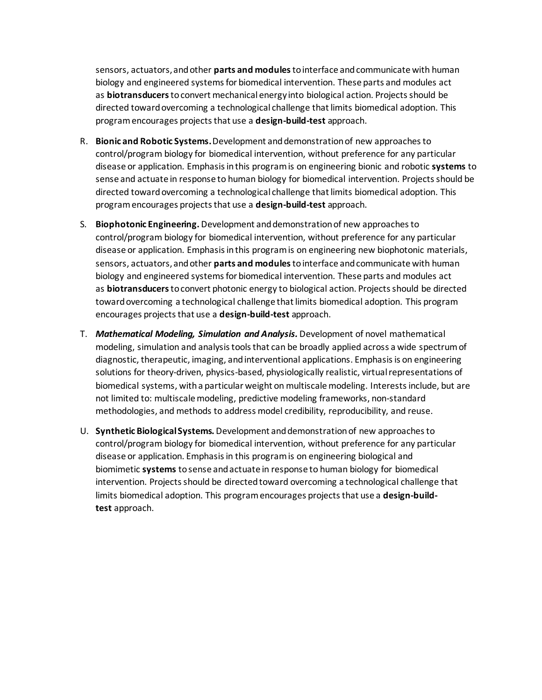sensors, actuators, and other **parts and modules**to interface and communicate with human biology and engineered systems for biomedical intervention. These parts and modules act as **biotransducers**to convert mechanical energy into biological action. Projects should be directed toward overcoming a technological challenge that limits biomedical adoption. This program encourages projects that use a **design-build-test** approach. 

- R. **Bionic and Robotic Systems.**Development and demonstration of new approaches to control/program biology for biomedical intervention, without preference for any particular disease or application. Emphasis in this program is on engineering bionic and robotic **systems**to sense and actuate in response to human biology for biomedical intervention. Projects should be directed toward overcoming a technological challenge that limits biomedical adoption. This program encourages projects that use a **design-build-test** approach.
- S. **Biophotonic Engineering.** Development and demonstration of new approaches to control/program biology for biomedical intervention, without preference for any particular disease or application. Emphasis in this program is on engineering new biophotonic materials, sensors, actuators, and other **parts and modules**to interface and communicate with human biology and engineered systems for biomedical intervention. These parts and modules act as **biotransducers**to convert photonic energy to biological action. Projects should be directed toward overcoming a technological challenge that limits biomedical adoption. This program encourages projects that use a **design-build-test** approach.
- T. *Mathematical Modeling, Simulation and Analysis.* Development of novel mathematical modeling, simulation and analysis tools that can be broadly applied across a wide spectrum of diagnostic, therapeutic, imaging, and interventional applications. Emphasis is on engineering solutions for theory-driven, physics-based, physiologically realistic, virtual representations of biomedical systems, with a particular weight on multiscale modeling. Interests include, but are not limited to: multiscale modeling, predictive modeling frameworks, non-standard methodologies, and methods to address model credibility, reproducibility, and reuse.
- U. **Synthetic Biological Systems.** Development and demonstration of new approaches to control/program biology for biomedical intervention, without preference for any particular disease or application. Emphasis in this program is on engineering biological and biomimetic **systems** to sense and actuate in response to human biology for biomedical intervention. Projects should be directed toward overcoming a technological challenge that limits biomedical adoption. This program encourages projects that use a **design-buildtest**approach.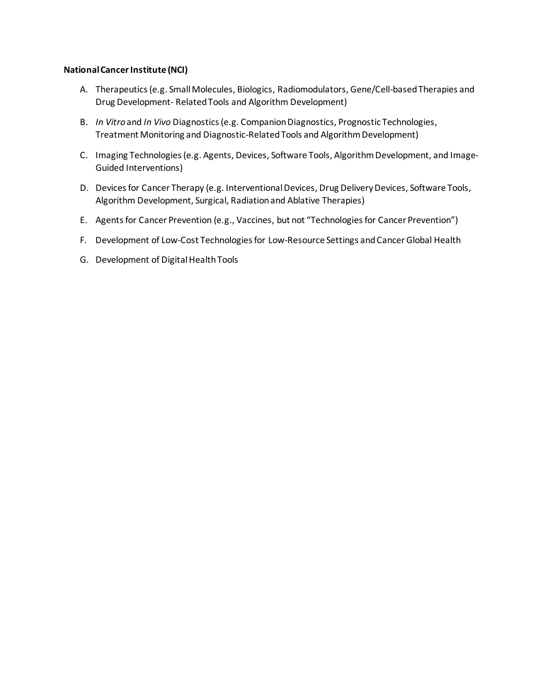#### **National Cancer Institute (NCI)**

- A. Therapeutics (e.g. Small Molecules, Biologics, Radiomodulators, Gene/Cell-based Therapies and Drug Development- Related Tools and Algorithm Development)
- B. *In Vitro* and *In Vivo* Diagnostics (e.g. Companion Diagnostics, Prognostic Technologies, Treatment Monitoring and Diagnostic-Related Tools and Algorithm Development)
- C. Imaging Technologies (e.g. Agents, Devices, Software Tools, Algorithm Development, and Image-Guided Interventions)
- D. Devices for Cancer Therapy (e.g. Interventional Devices, Drug Delivery Devices, Software Tools, Algorithm Development, Surgical, Radiation and Ablative Therapies)
- E. Agents for Cancer Prevention (e.g., Vaccines, but not "Technologies for Cancer Prevention")
- F. Development of Low-Cost Technologies for Low-Resource Settings and Cancer Global Health
- G. Development of Digital Health Tools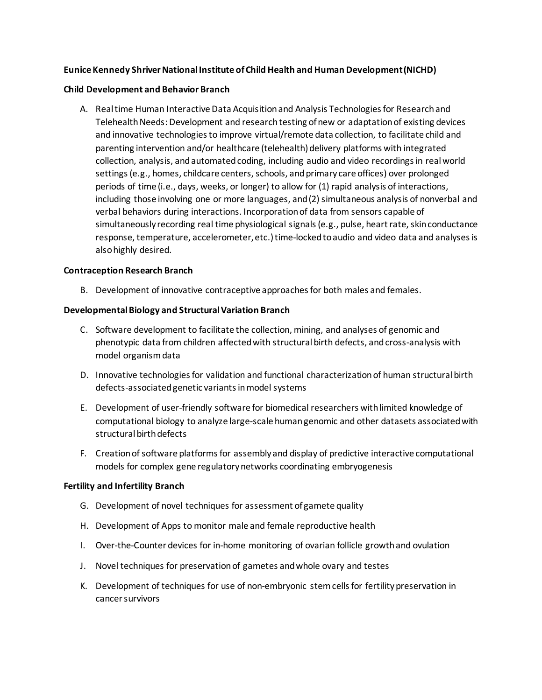## **Eunice Kennedy Shriver National Institute of Child Health and Human Development (NICHD)**

#### **Child Development and Behavior Branch**

A. Real time Human Interactive Data Acquisition and Analysis Technologies for Research and Telehealth Needs: Development and research testing of new or adaptation of existing devices and innovative technologies to improve virtual/remote data collection, to facilitate child and parenting intervention and/or healthcare (telehealth) delivery platforms with integrated collection, analysis, and automated coding, including audio and video recordings in real world settings (e.g., homes, childcare centers, schools, and primary care offices) over prolonged periods of time (i.e., days, weeks, or longer) to allow for (1) rapid analysis of interactions, including those involving one or more languages, and (2) simultaneous analysis of nonverbal and verbal behaviors during interactions. Incorporation of data from sensors capable of simultaneously recording real time physiological signals (e.g., pulse, heart rate, skin conductance response, temperature, accelerometer, etc.) time-locked to audio and video data and analyses is also highly desired.

#### **Contraception Research Branch**

B. Development of innovative contraceptive approaches for both males and females.

#### **Developmental Biology and Structural Variation Branch**

- C. Software development to facilitate the collection, mining, and analyses of genomic and phenotypic data from children affected with structural birth defects, and cross-analysis with model organism data
- D. Innovative technologies for validation and functional characterization of human structural birth defects-associated genetic variants in model systems
- E. Development of user-friendly software for biomedical researchers with limited knowledge of computational biology to analyze large-scale human genomic and other datasets associated with structural birth defects
- F. Creation of software platforms for assembly and display of predictive interactive computational models for complex gene regulatory networks coordinating embryogenesis

#### **Fertility and Infertility Branch**

- G. Development of novel techniques for assessment of gamete quality
- H. Development of Apps to monitor male and female reproductive health
- I. Over-the-Counter devices for in-home monitoring of ovarian follicle growth and ovulation
- J. Novel techniques for preservation of gametes and whole ovary and testes
- K. Development of techniques for use of non-embryonic stem cells for fertility preservation in cancer survivors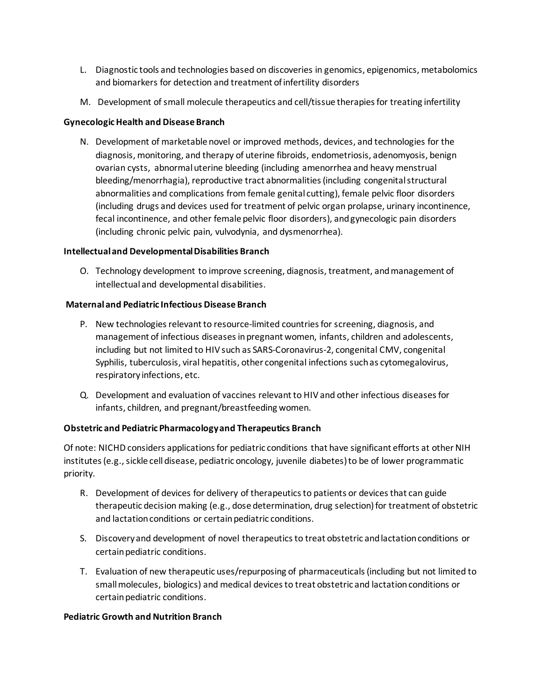- L. Diagnostic tools and technologies based on discoveries in genomics, epigenomics, metabolomics and biomarkers for detection and treatment of infertility disorders
- M. Development of small molecule therapeutics and cell/tissue therapies for treating infertility

## **Gynecologic Health and Disease Branch**

N. Development of marketable novel or improved methods, devices, and technologies for the diagnosis, monitoring, and therapy of uterine fibroids, endometriosis, adenomyosis, benign ovarian cysts, abnormal uterine bleeding (including amenorrhea and heavy menstrual bleeding/menorrhagia), reproductive tract abnormalities (including congenitalstructural abnormalities and complications from female genital cutting), female pelvic floor disorders (including drugs and devices used for treatment of pelvic organ prolapse, urinary incontinence, fecal incontinence, and other female pelvic floor disorders), and gynecologic pain disorders (including chronic pelvic pain, vulvodynia, and dysmenorrhea).

## **Intellectual and Developmental Disabilities Branch**

O. Technology development to improve screening, diagnosis, treatment, and management of intellectual and developmental disabilities.

## **Maternal and Pediatric Infectious Disease Branch**

- P. New technologies relevant to resource-limited countries for screening, diagnosis, and management of infectious diseases in pregnant women, infants, children and adolescents, including but not limited to HIV such as SARS-Coronavirus-2, congenital CMV, congenital Syphilis, tuberculosis, viral hepatitis, other congenital infections such as cytomegalovirus, respiratory infections, etc.
- Q. Development and evaluation of vaccines relevant to HIV and other infectious diseases for infants, children, and pregnant/breastfeeding women.

## **Obstetric and Pediatric Pharmacology and Therapeutics Branch**

Of note: NICHD considers applications for pediatric conditions that have significant efforts at other NIH institutes (e.g., sickle cell disease, pediatric oncology, juvenile diabetes) to be of lower programmatic priority.

- R. Development of devices for delivery of therapeutics to patients or devices that can guide therapeutic decision making (e.g., dose determination, drug selection) for treatment of obstetric and lactation conditions or certain pediatric conditions.
- S. Discovery and development of novel therapeutics to treat obstetric and lactation conditions or certain pediatric conditions.
- T. Evaluation of new therapeutic uses/repurposing of pharmaceuticals (including but not limited to small molecules, biologics) and medical devices to treat obstetric and lactation conditions or certain pediatric conditions.

## **Pediatric Growth and Nutrition Branch**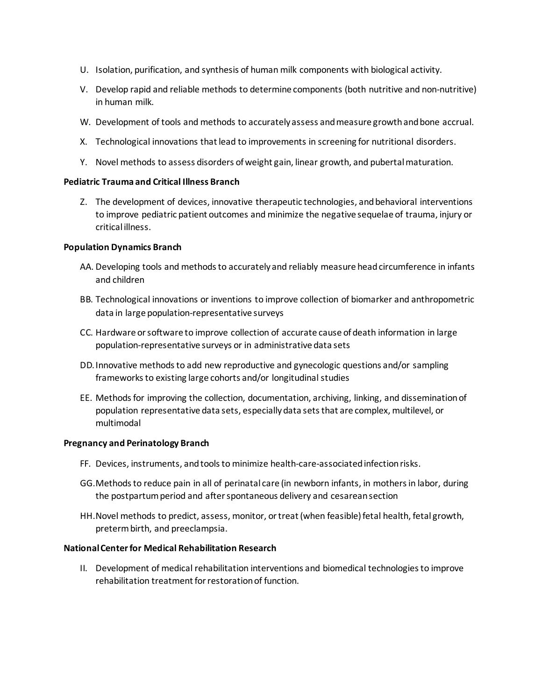- U. Isolation, purification, and synthesis of human milk components with biological activity.
- V. Develop rapid and reliable methods to determine components (both nutritive and non-nutritive) in human milk.
- W. Development of tools and methods to accurately assess and measure growth and bone accrual.
- X. Technological innovations that lead to improvements in screening for nutritional disorders.
- Y. Novel methods to assess disorders of weight gain, linear growth, and pubertal maturation.

### **Pediatric Trauma and Critical Illness Branch**

Z. The development of devices, innovative therapeutic technologies, and behavioral interventions to improve pediatric patient outcomes and minimize the negative sequelae of trauma, injury or critical illness.

### **Population Dynamics Branch**

- AA. Developing tools and methods to accurately and reliably measure head circumference in infants and children
- BB. Technological innovations or inventions to improve collection of biomarker and anthropometric data in large population-representative surveys
- CC. Hardware orsoftware to improve collection of accurate cause of death information in large population-representative surveys or in administrative data sets
- DD.Innovative methods to add new reproductive and gynecologic questions and/or sampling frameworks to existing large cohorts and/or longitudinal studies
- EE. Methods for improving the collection, documentation, archiving, linking, and dissemination of population representative data sets, especially data sets that are complex, multilevel, or multimodal

### **Pregnancy and Perinatology Branch**

- FF. Devices, instruments, and tools to minimize health-care-associated infection risks.
- GG.Methods to reduce pain in all of perinatal care (in newborn infants, in mothers in labor, during the postpartum period and after spontaneous delivery and cesarean section
- HH.Novel methods to predict, assess, monitor, or treat (when feasible) fetal health, fetal growth, preterm birth, and preeclampsia.

### **National Center for Medical Rehabilitation Research**

II. Development of medical rehabilitation interventions and biomedical technologies to improve rehabilitation treatment for restoration of function.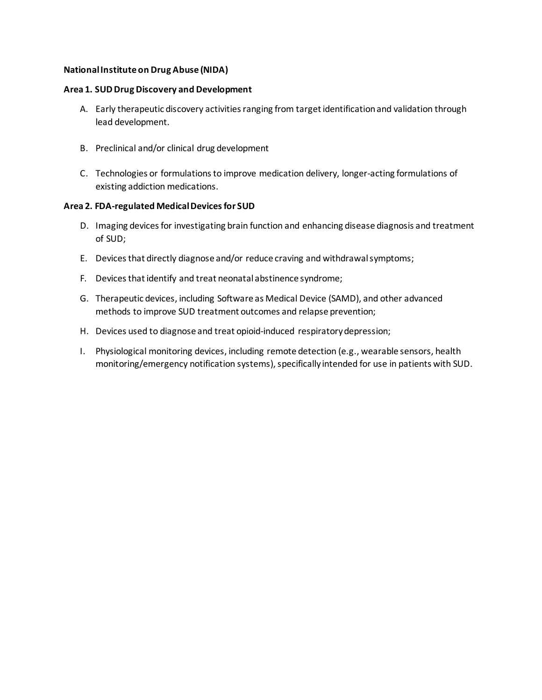### **National Institute on Drug Abuse (NIDA)**

#### **Area 1. SUD Drug Discovery and Development**

- A. Early therapeutic discovery activities ranging from target identification and validation through lead development.
- B. Preclinical and/or clinical drug development
- C. Technologies or formulations to improve medication delivery, longer-acting formulations of existing addiction medications.

#### **Area 2. FDA-regulated Medical Devices for SUD**

- D. Imaging devices for investigating brain function and enhancing disease diagnosis and treatment of SUD;
- E. Devices that directly diagnose and/or reduce craving and withdrawal symptoms;
- F. Devices that identify and treat neonatal abstinence syndrome;
- G. Therapeutic devices, including Software as Medical Device (SAMD), and other advanced methods to improve SUD treatment outcomes and relapse prevention;
- H. Devices used to diagnose and treat opioid-induced respiratory depression;
- I. Physiological monitoring devices, including remote detection (e.g., wearable sensors, health monitoring/emergency notification systems), specifically intended for use in patients with SUD.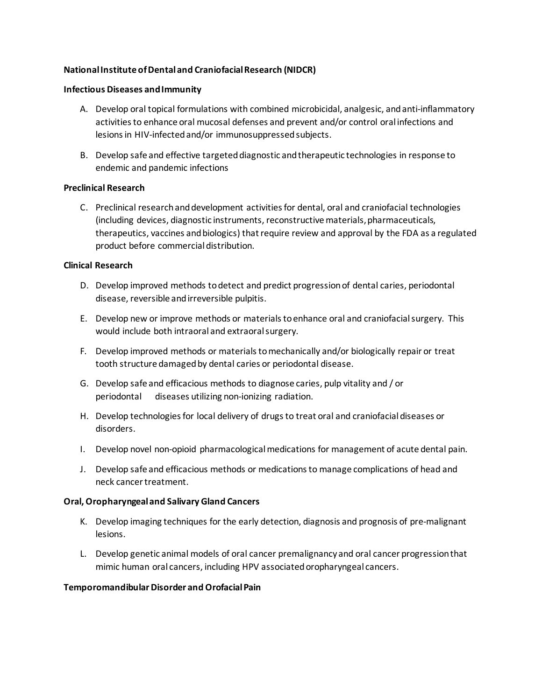## **National Institute of Dental and Craniofacial Research (NIDCR)**

#### **Infectious Diseases and Immunity**

- A. Develop oral topical formulations with combined microbicidal, analgesic, and anti-inflammatory activities to enhance oral mucosal defenses and prevent and/or control oral infections and lesions in HIV-infected and/or immunosuppressed subjects.
- B. Develop safe and effective targeted diagnostic and therapeutic technologies in response to endemic and pandemic infections

### **Preclinical Research**

C. Preclinical research and development activities for dental, oral and craniofacial technologies (including devices, diagnostic instruments, reconstructive materials, pharmaceuticals, therapeutics, vaccines and biologics) that require review and approval by the FDA as a regulated product before commercial distribution.

## **Clinical Research**

- D. Develop improved methods to detect and predict progression of dental caries, periodontal disease, reversible and irreversible pulpitis.
- E. Develop new or improve methods or materials to enhance oral and craniofacial surgery. This would include both intraoral and extraoral surgery.
- F. Develop improved methods or materials to mechanically and/or biologically repair or treat tooth structure damaged by dental caries or periodontal disease.
- G. Develop safe and efficacious methods to diagnose caries, pulp vitality and / or periodontal diseases utilizing non-ionizing radiation.
- H. Develop technologies for local delivery of drugs to treat oral and craniofacial diseases or disorders.
- I. Develop novel non-opioid pharmacological medications for management of acute dental pain.
- J. Develop safe and efficacious methods or medications to manage complications of head and neck cancer treatment.

### **Oral, Oropharyngeal and Salivary Gland Cancers**

- K. Develop imaging techniques for the early detection, diagnosis and prognosis of pre-malignant lesions.
- L. Develop genetic animal models of oral cancer premalignancy and oral cancer progression that mimic human oral cancers, including HPV associated oropharyngeal cancers.

### **Temporomandibular Disorder and Orofacial Pain**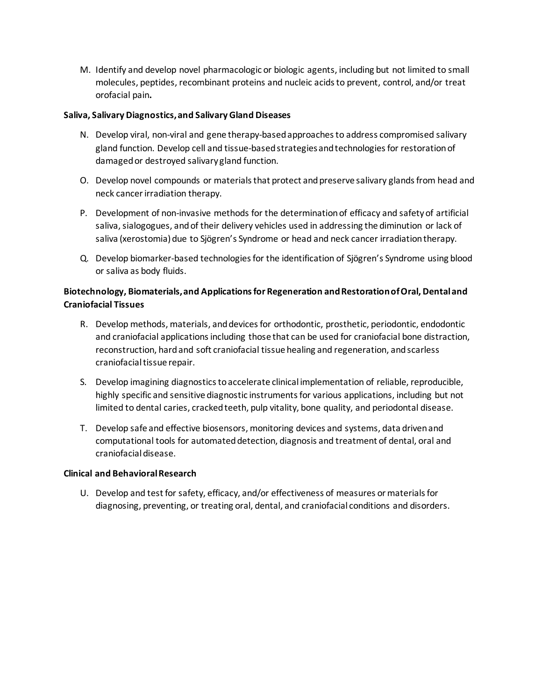M. Identify and develop novel pharmacologic or biologic agents, including but not limited to small molecules, peptides, recombinant proteins and nucleic acids to prevent, control, and/or treat orofacial pain**.**

### **Saliva, Salivary Diagnostics, and Salivary Gland Diseases**

- N. Develop viral, non-viral and gene therapy-based approaches to address compromised salivary gland function. Develop cell and tissue-based strategies and technologies for restoration of damaged or destroyed salivary gland function.
- O. Develop novel compounds or materials that protect and preserve salivary glands from head and neck cancer irradiation therapy.
- P. Development of non-invasive methods for the determination of efficacy and safety of artificial saliva, sialogogues, and of their delivery vehicles used in addressing the diminution or lack of saliva (xerostomia) due to Sjögren's Syndrome or head and neck cancer irradiation therapy.
- Q. Develop biomarker-based technologies for the identification of Sjögren's Syndrome using blood or saliva as body fluids.

## **Biotechnology, Biomaterials, and Applications for Regeneration and Restoration of Oral, Dental and Craniofacial Tissues**

- R. Develop methods, materials, and devices for orthodontic, prosthetic, periodontic, endodontic and craniofacial applications including those that can be used for craniofacial bone distraction, reconstruction, hard and soft craniofacial tissue healing and regeneration, and scarless craniofacial tissue repair.
- S. Develop imagining diagnostics to accelerate clinical implementation of reliable, reproducible, highly specific and sensitive diagnostic instruments for various applications, including but not limited to dental caries, cracked teeth, pulp vitality, bone quality, and periodontal disease.
- T. Develop safe and effective biosensors, monitoring devices and systems, data driven and computational tools for automated detection, diagnosis and treatment of dental, oral and craniofacial disease.

### **Clinical and Behavioral Research**

U. Develop and test for safety, efficacy, and/or effectiveness of measures or materials for diagnosing, preventing, or treating oral, dental, and craniofacial conditions and disorders.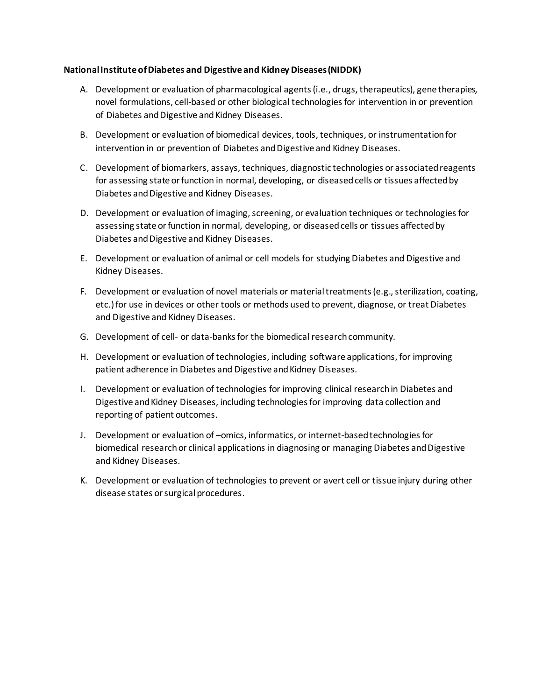### **National Institute of Diabetes and Digestive and Kidney Diseases (NIDDK)**

- A. Development or evaluation of pharmacological agents (i.e., drugs, therapeutics), gene therapies, novel formulations, cell-based or other biological technologies for intervention in or prevention of Diabetes and Digestive and Kidney Diseases.
- B. Development or evaluation of biomedical devices, tools, techniques, or instrumentation for intervention in or prevention of Diabetes and Digestive and Kidney Diseases.
- C. Development of biomarkers, assays, techniques, diagnostic technologies or associated reagents for assessing state or function in normal, developing, or diseased cells or tissues affected by Diabetes and Digestive and Kidney Diseases.
- D. Development or evaluation of imaging, screening, or evaluation techniques or technologies for assessing state or function in normal, developing, or diseased cells or tissues affected by Diabetes and Digestive and Kidney Diseases.
- E. Development or evaluation of animal or cell models for studying Diabetes and Digestive and Kidney Diseases.
- F. Development or evaluation of novel materials or material treatments (e.g., sterilization, coating, etc.) for use in devices or other tools or methods used to prevent, diagnose, or treat Diabetes and Digestive and Kidney Diseases.
- G. Development of cell- or data-banks for the biomedical research community.
- H. Development or evaluation of technologies, including software applications, for improving patient adherence in Diabetes and Digestive and Kidney Diseases.
- I. Development or evaluation of technologies for improving clinical research in Diabetes and Digestive and Kidney Diseases, including technologies for improving data collection and reporting of patient outcomes.
- J. Development or evaluation of –omics, informatics, or internet-based technologies for biomedical research or clinical applications in diagnosing or managing Diabetes and Digestive and Kidney Diseases.
- K. Development or evaluation of technologies to prevent or avert cell or tissue injury during other disease states or surgical procedures.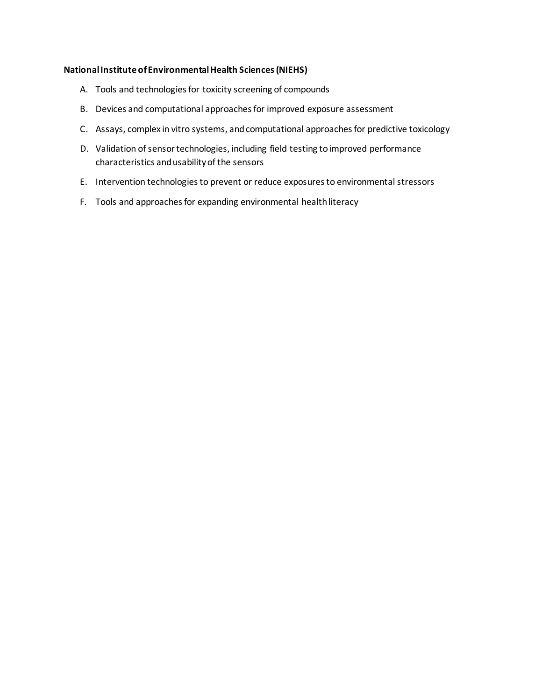### **National Institute of Environmental Health Sciences (NIEHS)**

- A. Tools and technologies for toxicity screening of compounds
- B. Devices and computational approaches for improved exposure assessment
- C. Assays, complex in vitro systems, and computational approaches for predictive toxicology
- D. Validation of sensor technologies, including field testing to improved performance characteristics and usability of the sensors
- E. Intervention technologies to prevent or reduce exposures to environmental stressors
- F. Tools and approaches for expanding environmental health literacy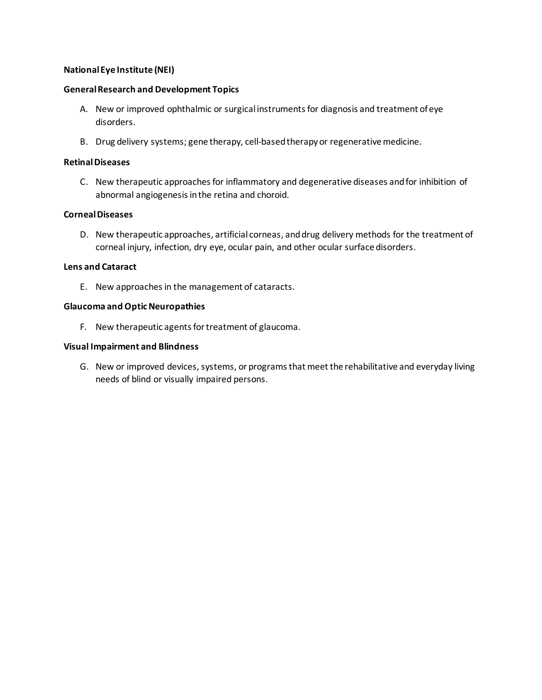## **National Eye Institute (NEI)**

#### **General Research and Development Topics**

- A. New or improved ophthalmic or surgical instruments for diagnosis and treatment of eye disorders.
- B. Drug delivery systems; gene therapy, cell-based therapy or regenerative medicine.

#### **Retinal Diseases**

C. New therapeutic approaches for inflammatory and degenerative diseases and for inhibition of abnormal angiogenesis in the retina and choroid.

#### **Corneal Diseases**

D. New therapeutic approaches, artificial corneas, and drug delivery methods for the treatment of corneal injury, infection, dry eye, ocular pain, and other ocular surface disorders.

#### **Lens and Cataract**

E. New approaches in the management of cataracts.

#### **Glaucoma and Optic Neuropathies**

F. New therapeutic agents for treatment of glaucoma.

#### **Visual Impairment and Blindness**

G. New or improved devices, systems, or programs that meet the rehabilitative and everyday living needs of blind or visually impaired persons.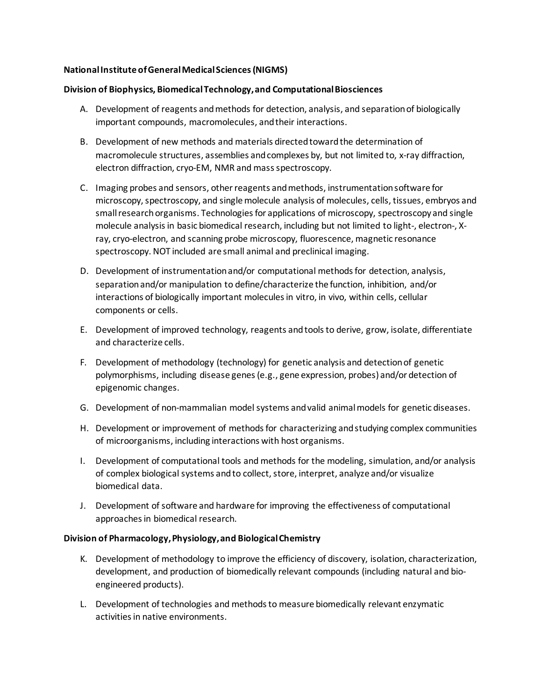## **National Institute of General Medical Sciences (NIGMS)**

### **Division of Biophysics, Biomedical Technology, and Computational Biosciences**

- A. Development of reagents and methods for detection, analysis, and separation of biologically important compounds, macromolecules, and their interactions.
- B. Development of new methods and materials directed toward the determination of macromolecule structures, assemblies and complexes by, but not limited to, x-ray diffraction, electron diffraction, cryo-EM, NMR and mass spectroscopy.
- C. Imaging probes and sensors, other reagents and methods, instrumentation software for microscopy, spectroscopy, and single molecule analysis of molecules, cells, tissues, embryos and small research organisms. Technologies for applications of microscopy, spectroscopy and single molecule analysis in basic biomedical research, including but not limited to light-, electron-, Xray, cryo-electron, and scanning probe microscopy, fluorescence, magnetic resonance spectroscopy. NOT included are small animal and preclinical imaging.
- D. Development of instrumentation and/or computational methods for detection, analysis, separation and/or manipulation to define/characterize the function, inhibition, and/or interactions of biologically important molecules in vitro, in vivo, within cells, cellular components or cells.
- E. Development of improved technology, reagents and tools to derive, grow, isolate, differentiate and characterize cells.
- F. Development of methodology (technology) for genetic analysis and detection of genetic polymorphisms, including disease genes (e.g., gene expression, probes) and/or detection of epigenomic changes.
- G. Development of non-mammalian model systems and valid animal models for genetic diseases.
- H. Development or improvement of methods for characterizing and studying complex communities of microorganisms, including interactions with host organisms.
- I. Development of computational tools and methods for the modeling, simulation, and/or analysis of complex biological systems and to collect, store, interpret, analyze and/or visualize biomedical data.
- J. Development of software and hardware for improving the effectiveness of computational approaches in biomedical research.

### **Division of Pharmacology, Physiology, and Biological Chemistry**

- K. Development of methodology to improve the efficiency of discovery, isolation, characterization, development, and production of biomedically relevant compounds (including natural and bioengineered products).
- L. Development of technologies and methods to measure biomedically relevant enzymatic activities in native environments.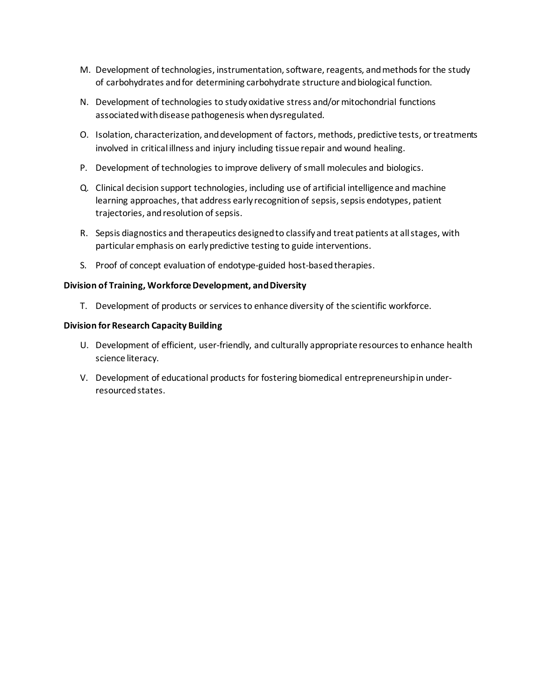- M. Development of technologies, instrumentation, software, reagents, and methods for the study of carbohydrates and for determining carbohydrate structure and biological function.
- N. Development of technologies to study oxidative stress and/or mitochondrial functions associated with disease pathogenesis when dysregulated.
- O. Isolation, characterization, and development of factors, methods, predictive tests, or treatments involved in critical illness and injury including tissue repair and wound healing.
- P. Development of technologies to improve delivery of small molecules and biologics.
- Q. Clinical decision support technologies, including use of artificial intelligence and machine learning approaches, that address early recognition of sepsis, sepsis endotypes, patient trajectories, and resolution of sepsis.
- R. Sepsis diagnostics and therapeutics designed to classify and treat patients at all stages, with particular emphasis on early predictive testing to guide interventions.
- S. Proof of concept evaluation of endotype-guided host-based therapies.

### **Division of Training, Workforce Development, and Diversity**

T. Development of products or services to enhance diversity of the scientific workforce.

### **Division for Research Capacity Building**

- U. Development of efficient, user-friendly, and culturally appropriate resources to enhance health science literacy.
- V. Development of educational products for fostering biomedical entrepreneurship in underresourced states.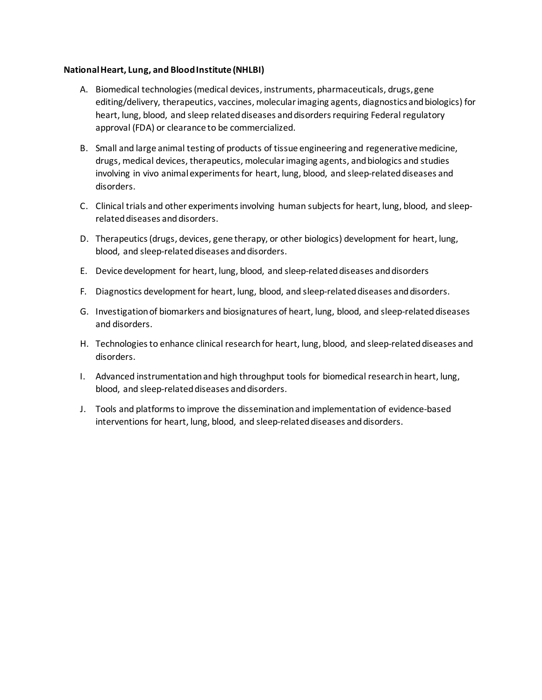#### **National Heart, Lung, and Blood Institute (NHLBI)**

- A. Biomedical technologies (medical devices, instruments, pharmaceuticals, drugs, gene editing/delivery, therapeutics, vaccines, molecular imaging agents, diagnostics and biologics) for heart, lung, blood, and sleep related diseases and disorders requiring Federal regulatory approval (FDA) or clearance to be commercialized.
- B. Small and large animal testing of products of tissue engineering and regenerative medicine, drugs, medical devices, therapeutics, molecular imaging agents, and biologics and studies involving in vivo animal experiments for heart, lung, blood, and sleep-related diseases and disorders.
- C. Clinical trials and other experiments involving human subjects for heart, lung, blood, and sleeprelated diseases and disorders.
- D. Therapeutics (drugs, devices, gene therapy, or other biologics) development for heart, lung, blood, and sleep-related diseases and disorders.
- E. Device development for heart, lung, blood, and sleep-related diseases and disorders
- F. Diagnostics development for heart, lung, blood, and sleep-related diseases and disorders.
- G. Investigation of biomarkers and biosignatures of heart, lung, blood, and sleep-related diseases and disorders.
- H. Technologies to enhance clinical research for heart, lung, blood, and sleep-related diseases and disorders.
- I. Advanced instrumentation and high throughput tools for biomedical research in heart, lung, blood, and sleep-related diseases and disorders.
- J. Tools and platforms to improve the dissemination and implementation of evidence-based interventions for heart, lung, blood, and sleep-related diseases and disorders.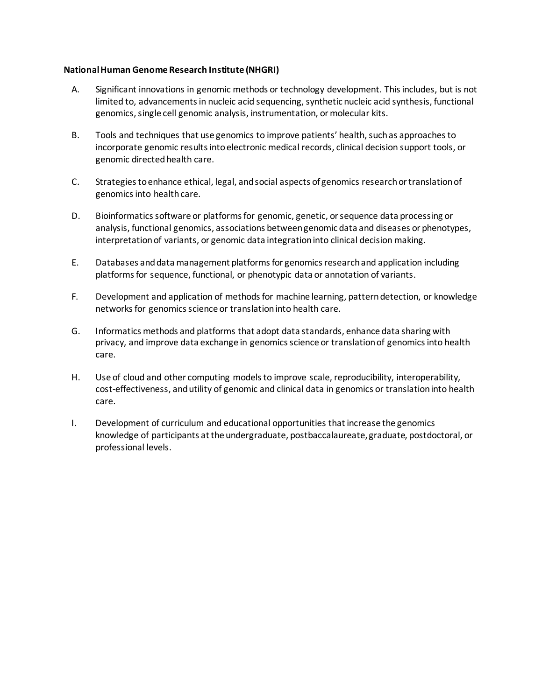#### **National Human Genome Research Institute (NHGRI)**

- A. Significant innovations in genomic methods or technology development. This includes, but is not limited to, advancements in nucleic acid sequencing, synthetic nucleic acid synthesis, functional genomics, single cell genomic analysis, instrumentation, ormolecular kits.
- B. Tools and techniques that use genomics to improve patients' health, such as approaches to incorporate genomic results into electronic medical records, clinical decision support tools, or genomic directed health care.
- C. Strategies to enhance ethical, legal, and social aspects of genomics research ortranslation of genomics into healthcare.
- D. Bioinformatics software or platforms for genomic, genetic, orsequence data processing or analysis, functional genomics, associations between genomic data and diseases or phenotypes, interpretation of variants, or genomic data integration into clinical decision making.
- E. Databases and data management platforms for genomics research and application including platforms for sequence, functional, or phenotypic data or annotation of variants.
- F. Development and application of methods for machine learning, pattern detection, or knowledge networks for genomics science or translation into health care.
- G. Informatics methods and platforms that adopt data standards, enhance data sharing with privacy, and improve data exchange in genomics science or translation of genomics into health care.
- H. Use of cloud and other computing models to improve scale, reproducibility, interoperability, cost-effectiveness, and utility of genomic and clinical data in genomics or translation into health care.
- I. Development of curriculum and educational opportunities that increase the genomics knowledge of participants at the undergraduate, postbaccalaureate, graduate, postdoctoral, or professional levels.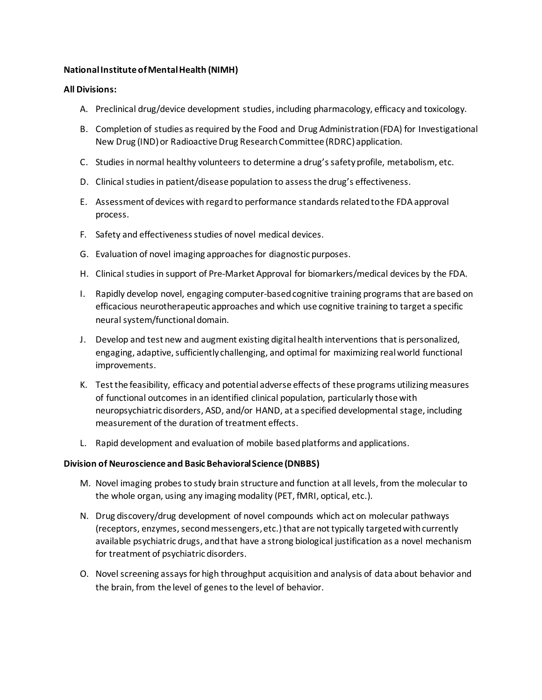## **National Institute of Mental Health (NIMH)**

### **All Divisions:**

- A. Preclinical drug/device development studies, including pharmacology, efficacy and toxicology.
- B. Completion of studies as required by the Food and Drug Administration (FDA) for Investigational New Drug (IND) or Radioactive Drug Research Committee (RDRC) application.
- C. Studies in normal healthy volunteers to determine a drug's safety profile, metabolism, etc.
- D. Clinical studies in patient/disease population to assess the drug's effectiveness.
- E. Assessment of devices with regard to performance standards related tothe FDA approval process.
- F. Safety and effectiveness studies of novel medical devices.
- G. Evaluation of novel imaging approaches for diagnostic purposes.
- H. Clinical studies in support of Pre-Market Approval for biomarkers/medical devices by the FDA.
- I. Rapidly develop novel, engaging computer-based cognitive training programs that are based on efficacious neurotherapeutic approaches and which use cognitive training to target a specific neural system/functional domain.
- J. Develop and test new and augment existing digital health interventions that is personalized, engaging, adaptive, sufficiently challenging, and optimal for maximizing real world functional improvements.
- K. Test the feasibility, efficacy and potential adverse effects of these programs utilizing measures of functional outcomes in an identified clinical population, particularly those with neuropsychiatric disorders, ASD, and/or HAND, at a specified developmental stage, including measurement of the duration of treatment effects.
- L. Rapid development and evaluation of mobile based platforms and applications.

### **Division of Neuroscience and Basic Behavioral Science (DNBBS)**

- M. Novel imaging probes to study brain structure and function at all levels, from the molecular to the whole organ, using any imaging modality (PET, fMRI, optical, etc.).
- N. Drug discovery/drug development of novel compounds which act on molecular pathways (receptors, enzymes, second messengers, etc.) that are not typically targeted with currently available psychiatric drugs, and that have a strong biological justification as a novel mechanism for treatment of psychiatric disorders.
- O. Novel screening assays for high throughput acquisition and analysis of data about behavior and the brain, from the level of genes to the level of behavior.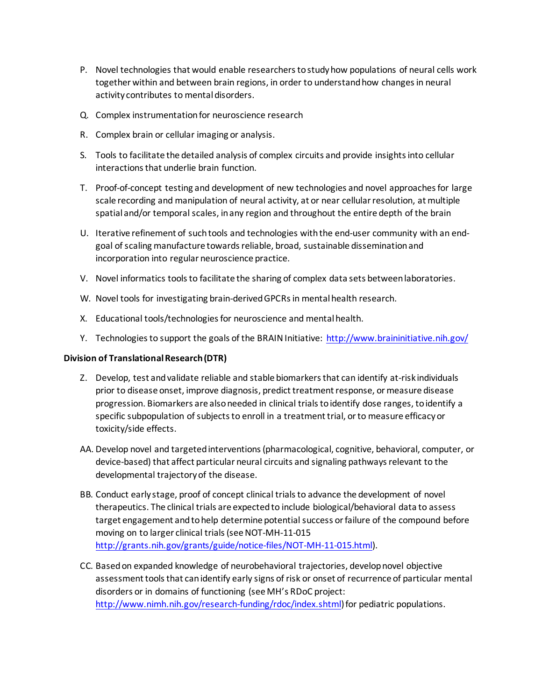- P. Novel technologies that would enable researchers to study how populations of neural cells work together within and between brain regions, in order to understand how changes in neural activity contributes to mental disorders.
- Q. Complex instrumentation for neuroscience research
- R. Complex brain or cellular imaging or analysis.
- S. Tools to facilitate the detailed analysis of complex circuits and provide insights into cellular interactions that underlie brain function.
- T. Proof-of-concept testing and development of new technologies and novel approaches for large scale recording and manipulation of neural activity, at or near cellular resolution, at multiple spatial and/or temporal scales, in any region and throughout the entire depth of the brain
- U. Iterative refinement of such tools and technologies with the end-user community with an endgoal of scaling manufacture towards reliable, broad, sustainable dissemination and incorporation into regular neuroscience practice.
- V. Novel informatics tools to facilitate the sharing of complex data sets between laboratories.
- W. Novel tools for investigating brain-derived GPCRs in mental health research.
- X. Educational tools/technologies for neuroscience and mental health.
- Y. Technologies to support the goals of the BRAIN Initiative:<http://www.braininitiative.nih.gov/>

### **Division of Translational Research (DTR)**

- Z. Develop, test and validate reliable and stable biomarkers that can identify at-risk individuals prior to disease onset, improve diagnosis, predict treatment response, or measure disease progression. Biomarkers are also needed in clinical trials to identify dose ranges, to identify a specific subpopulation of subjects to enroll in a treatment trial, or to measure efficacy or toxicity/side effects.
- AA. Develop novel and targeted interventions (pharmacological, cognitive, behavioral, computer, or device-based) that affect particular neural circuits and signaling pathways relevant to the developmental trajectory of the disease.
- BB. Conduct early stage, proof of concept clinical trials to advance the development of novel therapeutics. The clinical trials are expected to include biological/behavioral data to assess target engagement and to help determine potential success or failure of the compound before moving on to larger clinical trials (see NOT-MH-11-015 [http://grants.nih.gov/grants/guide/notice-files/NOT-MH-11-015.html\)](http://grants.nih.gov/grants/guide/notice-files/NOT-MH-11-015.html).
- CC. Based on expanded knowledge of neurobehavioral trajectories, develop novel objective assessment tools that can identify early signs of risk or onset of recurrence of particular mental disorders or in domains of functioning (see MH's RDoC project: [http://www.nimh.nih.gov/research-funding/rdoc/index.shtml\)](http://www.nimh.nih.gov/research-funding/rdoc/index.shtml) for pediatric populations.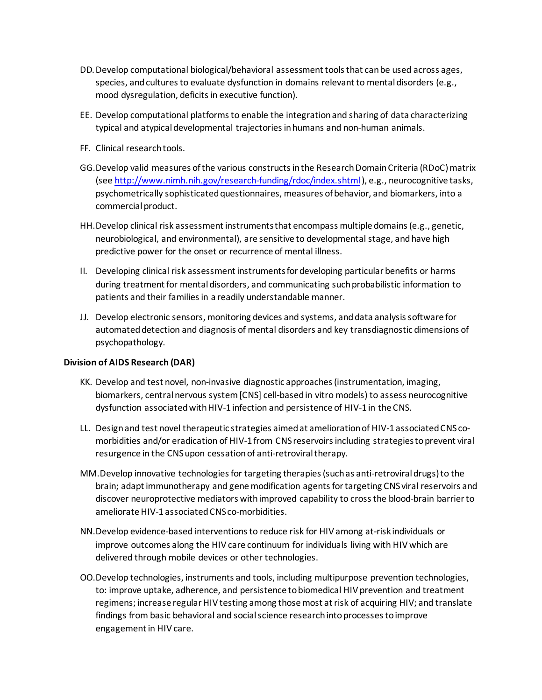- DD.Develop computational biological/behavioral assessment tools that can be used across ages, species, and cultures to evaluate dysfunction in domains relevant to mental disorders (e.g., mood dysregulation, deficits in executive function).
- EE. Develop computational platforms to enable the integration and sharing of data characterizing typical and atypical developmental trajectories in humans and non-human animals.
- FF. Clinical research tools.
- GG.Develop valid measures of the various constructs in the Research Domain Criteria (RDoC) matrix (see <http://www.nimh.nih.gov/research-funding/rdoc/index.shtml>), e.g., neurocognitive tasks, psychometrically sophisticated questionnaires, measures of behavior, and biomarkers, into a commercial product.
- HH.Develop clinical risk assessment instruments that encompass multiple domains (e.g., genetic, neurobiological, and environmental), are sensitive to developmental stage, and have high predictive power for the onset or recurrence of mental illness.
- II. Developing clinical risk assessment instruments for developing particular benefits or harms during treatment for mental disorders, and communicating such probabilistic information to patients and their families in a readily understandable manner.
- JJ. Develop electronic sensors, monitoring devices and systems, and data analysis software for automated detection and diagnosis of mental disorders and key transdiagnostic dimensions of psychopathology.

### **Division of AIDS Research (DAR)**

- KK. Develop and test novel, non-invasive diagnostic approaches (instrumentation, imaging, biomarkers, central nervous system [CNS] cell-based in vitro models) to assess neurocognitive dysfunction associated with HIV-1 infection and persistence of HIV-1 in the CNS.
- LL. Design and test novel therapeutic strategies aimed at amelioration of HIV-1 associated CNS comorbidities and/or eradication of HIV-1 from CNS reservoirs including strategies to prevent viral resurgence in the CNS upon cessation of anti-retroviral therapy.
- MM.Develop innovative technologies for targeting therapies (such as anti-retroviral drugs) to the brain; adapt immunotherapy and gene modification agents for targeting CNS viral reservoirs and discover neuroprotective mediators with improved capability to cross the blood-brain barrier to ameliorate HIV-1 associated CNS co-morbidities.
- NN.Develop evidence-based interventions to reduce risk for HIV among at-risk individuals or improve outcomes along the HIV care continuum for individuals living with HIV which are delivered through mobile devices or other technologies.
- OO.Develop technologies, instruments and tools, including multipurpose prevention technologies, to: improve uptake, adherence, and persistence to biomedical HIV prevention and treatment regimens; increase regular HIV testing among those most at risk of acquiring HIV; and translate findings from basic behavioral and social science research into processes to improve engagement in HIV care.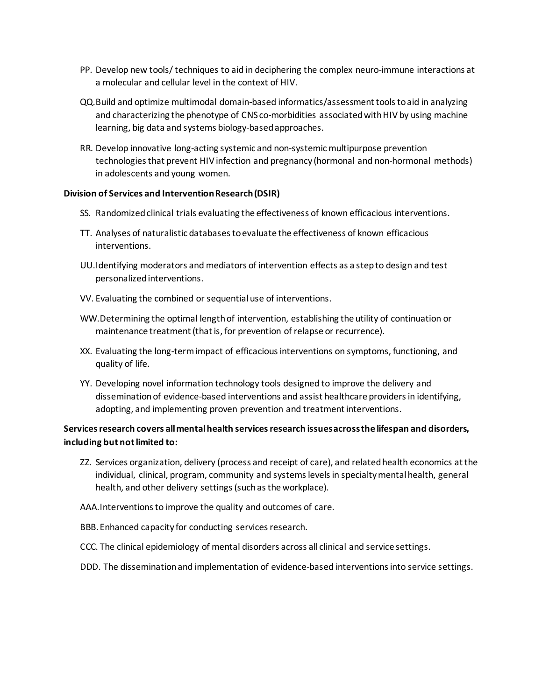- PP. Develop new tools/ techniques to aid in deciphering the complex neuro-immune interactions at a molecular and cellular level in the context of HIV.
- QQ.Build and optimize multimodal domain-based informatics/assessment tools to aid in analyzing and characterizing the phenotype of CNS co-morbidities associated with HIV by using machine learning, big data and systems biology-based approaches.
- RR. Develop innovative long-acting systemic and non-systemic multipurpose prevention technologies that prevent HIV infection and pregnancy (hormonal and non-hormonal methods) in adolescents and young women.

#### **Division of Services and Intervention Research (DSIR)**

- SS. Randomized clinical trials evaluating the effectiveness of known efficacious interventions.
- TT. Analyses of naturalistic databases to evaluate the effectiveness of known efficacious interventions.
- UU.Identifying moderators and mediators of intervention effects as a step to design and test personalized interventions.
- VV. Evaluating the combined or sequential use of interventions.
- WW.Determining the optimal length of intervention, establishing the utility of continuation or maintenance treatment (that is, for prevention of relapse or recurrence).
- XX. Evaluating the long-term impact of efficacious interventions on symptoms, functioning, and quality of life.
- YY. Developing novel information technology tools designed to improve the delivery and dissemination of evidence-based interventions and assist healthcare providers in identifying, adopting, and implementing proven prevention and treatment interventions.

## **Services research covers all mental health services research issues across the lifespan and disorders, including but not limited to:**

ZZ. Services organization, delivery (process and receipt of care), and related health economics at the individual, clinical, program, community and systems levels in specialty mental health, general health, and other delivery settings (such as the workplace).

AAA.Interventions to improve the quality and outcomes of care.

- BBB.Enhanced capacity for conducting services research.
- CCC. The clinical epidemiology of mental disorders across all clinical and service settings.
- DDD. The dissemination and implementation of evidence-based interventions into service settings.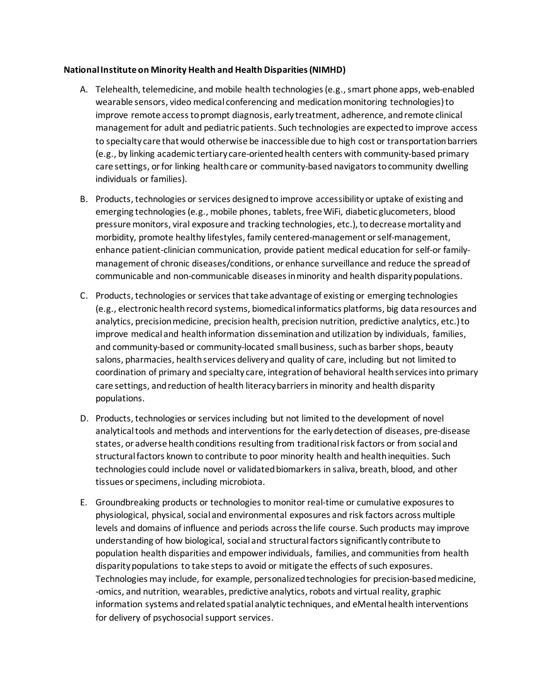### **National Institute on Minority Health and Health Disparities (NIMHD)**

- A. Telehealth, telemedicine, and mobile health technologies (e.g., smart phone apps, web-enabled wearable sensors, video medical conferencing and medication monitoring technologies) to improve remote access to prompt diagnosis, early treatment, adherence, and remote clinical management for adult and pediatric patients. Such technologies are expected to improve access to specialty care that would otherwise be inaccessible due to high cost or transportation barriers (e.g., by linking academic tertiary care-oriented health centers with community-based primary care settings, or for linking health care or community-based navigators to community dwelling individuals or families).
- B. Products, technologies or services designed to improve accessibility or uptake of existing and emerging technologies (e.g., mobile phones, tablets, free WiFi, diabetic glucometers, blood pressure monitors, viral exposure and tracking technologies, etc.), to decrease mortality and morbidity, promote healthy lifestyles, family centered-management or self-management, enhance patient-clinician communication, provide patient medical education for self-or familymanagement of chronic diseases/conditions, or enhance surveillance and reduce the spread of communicable and non-communicable diseases in minority and health disparity populations.
- C. Products, technologies or services that take advantage of existing or emerging technologies (e.g., electronic health record systems, biomedical informatics platforms, big data resources and analytics, precision medicine, precision health, precision nutrition, predictive analytics, etc.) to improve medical and health information dissemination and utilization by individuals, families, and community-based or community-located small business, such as barber shops, beauty salons, pharmacies, health services delivery and quality of care, including but not limited to coordination of primary and specialty care, integration of behavioral health services into primary care settings, and reduction of health literacy barriers in minority and health disparity populations.
- D. Products, technologies or services including but not limited to the development of novel analytical tools and methods and interventions for the early detection of diseases, pre-disease states, or adverse health conditions resulting from traditional risk factors or from social and structural factors known to contribute to poor minority health and health inequities. Such technologies could include novel or validated biomarkers in saliva, breath, blood, and other tissues or specimens, including microbiota.
- E. Groundbreaking products or technologies to monitor real-time or cumulative exposures to physiological, physical, social and environmental exposures and risk factors across multiple levels and domains of influence and periods across the life course. Such products may improve understanding of how biological, social and structural factors significantly contribute to population health disparities and empower individuals, families, and communities from health disparity populations to take steps to avoid or mitigate the effects of such exposures. Technologies may include, for example, personalized technologies for precision-based medicine, -omics, and nutrition, wearables, predictive analytics, robots and virtual reality, graphic information systems and related spatial analytic techniques, and eMental health interventions for delivery of psychosocial support services.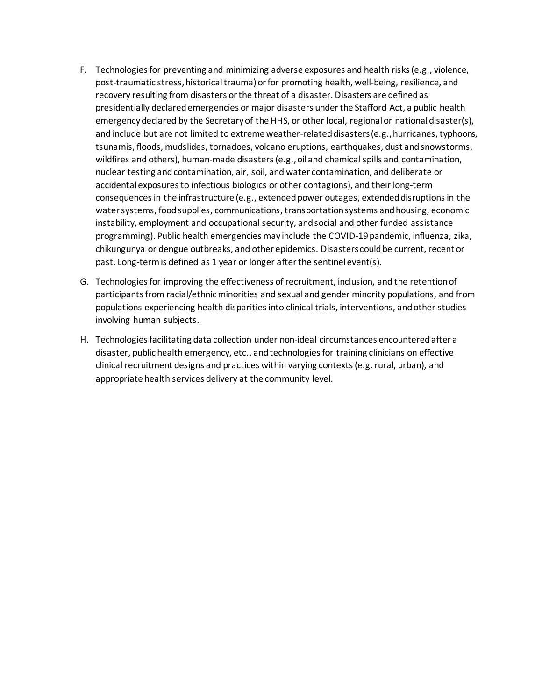- F. Technologies for preventing and minimizing adverse exposures and health risks (e.g., violence, post-traumatic stress, historical trauma) or for promoting health, well-being, resilience, and recovery resulting from disasters or the threat of a disaster. Disasters are defined as presidentially declared emergencies or major disasters under the Stafford Act, a public health emergency declared by the Secretary of the HHS, or other local, regional or national disaster(s), and include but are not limited to extreme weather-related disasters (e.g., hurricanes, typhoons, tsunamis, floods, mudslides, tornadoes, volcano eruptions, earthquakes, dust and snowstorms, wildfires and others), human-made disasters (e.g., oil and chemical spills and contamination, nuclear testing and contamination, air, soil, and water contamination, and deliberate or accidental exposures to infectious biologics or other contagions), and their long-term consequences in the infrastructure (e.g., extended power outages, extended disruptions in the water systems, food supplies, communications, transportation systems and housing, economic instability, employment and occupational security, and social and other funded assistance programming). Public health emergencies may include the COVID-19 pandemic, influenza, zika, chikungunya or dengue outbreaks, and other epidemics. Disasters could be current, recent or past. Long-term is defined as 1 year or longer after the sentinel event(s).
- G. Technologies for improving the effectiveness of recruitment, inclusion, and the retention of participants from racial/ethnic minorities and sexual and gender minority populations, and from populations experiencing health disparities into clinical trials, interventions, and other studies involving human subjects.
- H. Technologies facilitating data collection under non-ideal circumstances encountered after a disaster, public health emergency, etc., and technologies for training clinicians on effective clinical recruitment designs and practices within varying contexts (e.g. rural, urban), and appropriate health services delivery at the community level.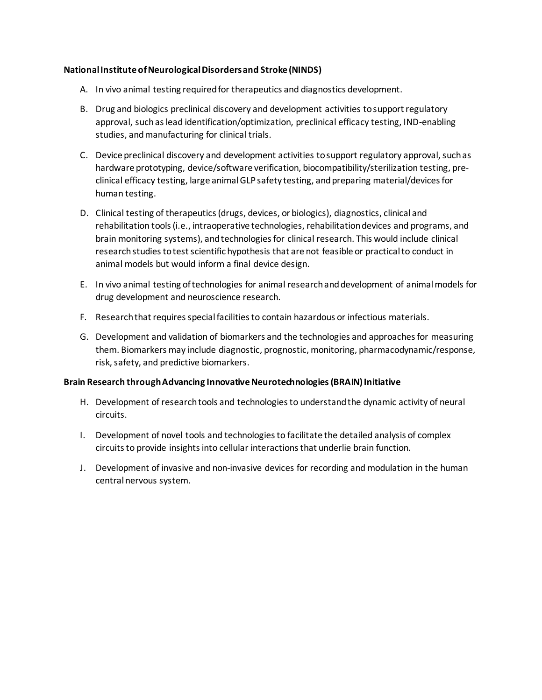### **National Institute of Neurological Disorders and Stroke (NINDS)**

- A. In vivo animal testing required for therapeutics and diagnostics development.
- B. Drug and biologics preclinical discovery and development activities to support regulatory approval, such as lead identification/optimization, preclinical efficacy testing, IND-enabling studies, and manufacturing for clinical trials.
- C. Device preclinical discovery and development activities to support regulatory approval, such as hardware prototyping, device/software verification, biocompatibility/sterilization testing, preclinical efficacy testing, large animal GLP safety testing, and preparing material/devices for human testing.
- D. Clinical testing of therapeutics (drugs, devices, or biologics), diagnostics, clinical and rehabilitation tools (i.e., intraoperative technologies, rehabilitation devices and programs, and brain monitoring systems), and technologies for clinical research. This would include clinical research studies to test scientific hypothesis that are not feasible or practical to conduct in animal models but would inform a final device design.
- E. In vivo animal testing of technologies for animal research and development of animal models for drug development and neuroscience research.
- F. Research that requires special facilities to contain hazardous or infectious materials.
- G. Development and validation of biomarkers and the technologies and approaches for measuring them. Biomarkers may include diagnostic, prognostic, monitoring, pharmacodynamic/response, risk, safety, and predictive biomarkers.

### **Brain Research through Advancing Innovative Neurotechnologies (BRAIN) Initiative**

- H. Development of research tools and technologies to understand the dynamic activity of neural circuits.
- I. Development of novel tools and technologies to facilitate the detailed analysis of complex circuits to provide insightsinto cellular interactions that underlie brain function.
- J. Development of invasive and non-invasive devices for recording and modulation in the human central nervous system.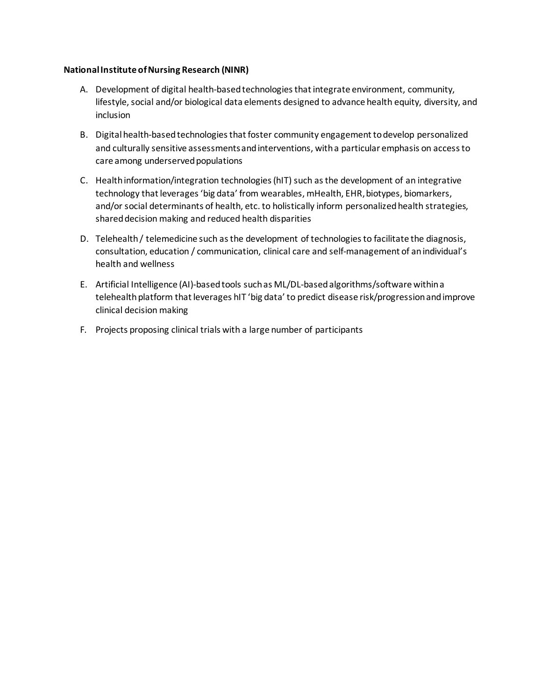### **National Institute of Nursing Research (NINR)**

- A. Development of digital health-based technologies that integrate environment, community, lifestyle, social and/or biological data elements designed to advance health equity, diversity, and inclusion
- B. Digital health-based technologies that foster community engagement to develop personalized and culturally sensitive assessments and interventions, with a particular emphasis on access to care among underserved populations
- C. Health information/integration technologies (hIT) such as the development of an integrative technology that leverages 'big data' from wearables, mHealth, EHR, biotypes, biomarkers, and/or social determinants of health, etc. to holistically inform personalized health strategies, shared decision making and reduced health disparities
- D. Telehealth / telemedicine such as the development of technologies to facilitate the diagnosis, consultation, education / communication, clinical care and self-management of an individual's health and wellness
- E. Artificial Intelligence (AI)-based tools such as ML/DL-based algorithms/software within a telehealth platform that leverages hIT 'big data' to predict disease risk/progression and improve clinical decision making
- F. Projects proposing clinical trials with a large number of participants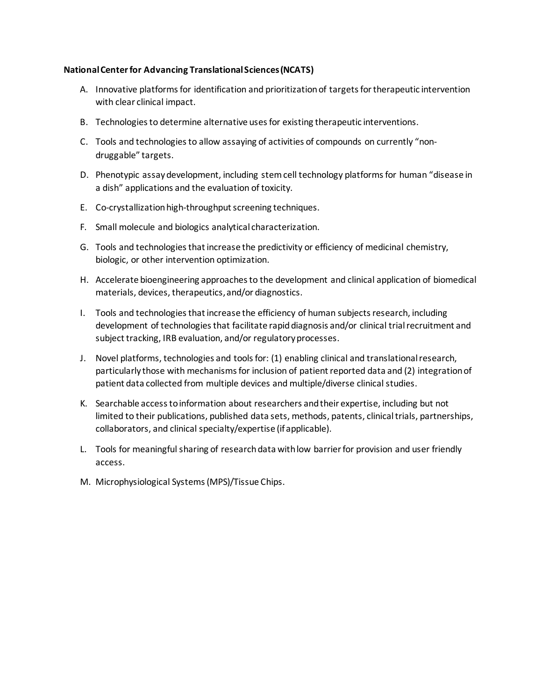#### **National Centerfor Advancing Translational Sciences (NCATS)**

- A. Innovative platforms for identification and prioritization of targets for therapeutic intervention with clear clinical impact.
- B. Technologies to determine alternative uses for existing therapeutic interventions.
- C. Tools and technologies to allow assaying of activities of compounds on currently "nondruggable" targets.
- D. Phenotypic assay development, including stem cell technology platforms for human "disease in a dish" applications and the evaluation of toxicity.
- E. Co-crystallization high-throughput screening techniques.
- F. Small molecule and biologics analytical characterization.
- G. Tools and technologies that increase the predictivity or efficiency of medicinal chemistry, biologic, or other intervention optimization.
- H. Accelerate bioengineering approaches to the development and clinical application of biomedical materials, devices, therapeutics, and/or diagnostics.
- I. Tools and technologies that increase the efficiency of human subjects research, including development of technologies that facilitate rapid diagnosis and/or clinical trial recruitment and subject tracking, IRB evaluation, and/or regulatory processes.
- J. Novel platforms, technologies and tools for: (1) enabling clinical and translational research, particularly those with mechanisms for inclusion of patient reported data and (2) integration of patient data collected from multiple devices and multiple/diverse clinical studies.
- K. Searchable access to information about researchers and their expertise, including but not limited to their publications, published data sets, methods, patents, clinical trials, partnerships, collaborators, and clinical specialty/expertise (if applicable).
- L. Tools for meaningful sharing of research data with low barrier for provision and user friendly access.
- M. Microphysiological Systems (MPS)/Tissue Chips.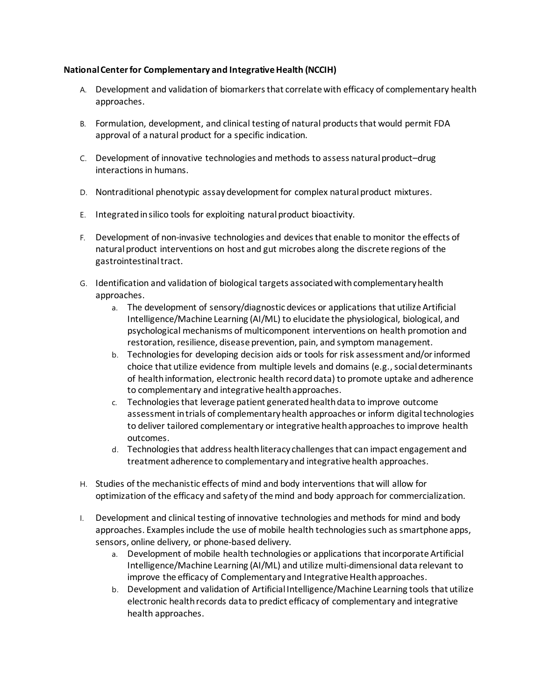### **National Center for Complementary and Integrative Health (NCCIH)**

- A. Development and validation of biomarkers that correlate with efficacy of complementary health approaches.
- B. Formulation, development, and clinical testing of natural products that would permit FDA approval of a natural product for a specific indication.
- C. Development of innovative technologies and methods to assess natural product–drug interactions in humans.
- D. Nontraditional phenotypic assay development for complex natural product mixtures.
- E. Integrated in silico tools for exploiting natural product bioactivity.
- F. Development of non-invasive technologies and devices that enable to monitor the effects of natural product interventions on host and gut microbes along the discrete regions of the gastrointestinal tract.
- G. Identification and validation of biological targets associated with complementary health approaches.
	- a. The development of sensory/diagnostic devices or applications that utilize Artificial Intelligence/Machine Learning (AI/ML) to elucidate the physiological, biological, and psychological mechanisms of multicomponent interventions on health promotion and restoration, resilience, disease prevention, pain, and symptom management.
	- b. Technologies for developing decision aids or tools for risk assessment and/or informed choice that utilize evidence from multiple levels and domains (e.g., social determinants of health information, electronic health record data) to promote uptake and adherence to complementary and integrative health approaches.
	- c. Technologies that leverage patient generated health data to improve outcome assessment in trials of complementary health approaches or inform digital technologies to deliver tailored complementary or integrative health approaches to improve health outcomes.
	- d. Technologies that address health literacy challenges that can impact engagement and treatment adherence to complementary and integrative health approaches.
- H. Studies of the mechanistic effects of mind and body interventions that will allow for optimization of the efficacy and safety of the mind and body approach for commercialization.
- I. Development and clinical testing of innovative technologies and methods for mind and body approaches. Examples include the use of mobile health technologies such as smartphone apps, sensors, online delivery, or phone-based delivery.
	- a. Development of mobile health technologies or applications that incorporate Artificial Intelligence/Machine Learning (AI/ML) and utilize multi-dimensional data relevant to improve the efficacy of Complementary and Integrative Health approaches.
	- b. Development and validation of Artificial Intelligence/Machine Learning tools that utilize electronic health records data to predict efficacy of complementary and integrative health approaches.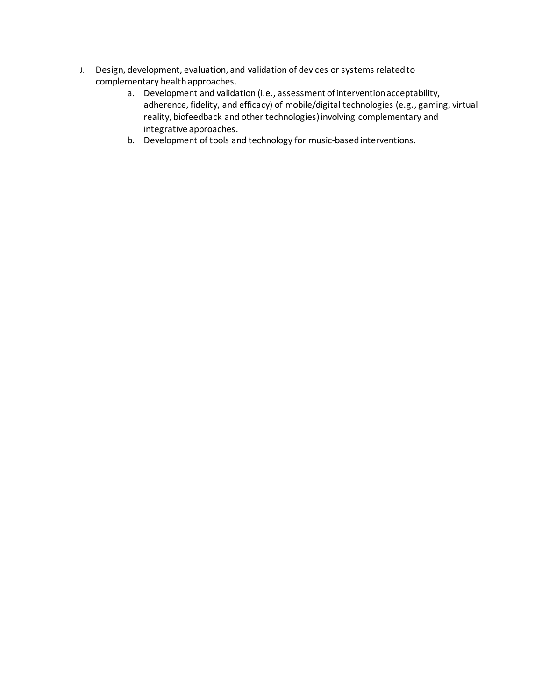- J. Design, development, evaluation, and validation of devices or systems related to complementary health approaches.
	- a. Development and validation (i.e., assessment of intervention acceptability, adherence, fidelity, and efficacy) of mobile/digital technologies (e.g., gaming, virtual reality, biofeedback and other technologies) involving complementary and integrative approaches.
	- b. Development of tools and technology for music-based interventions.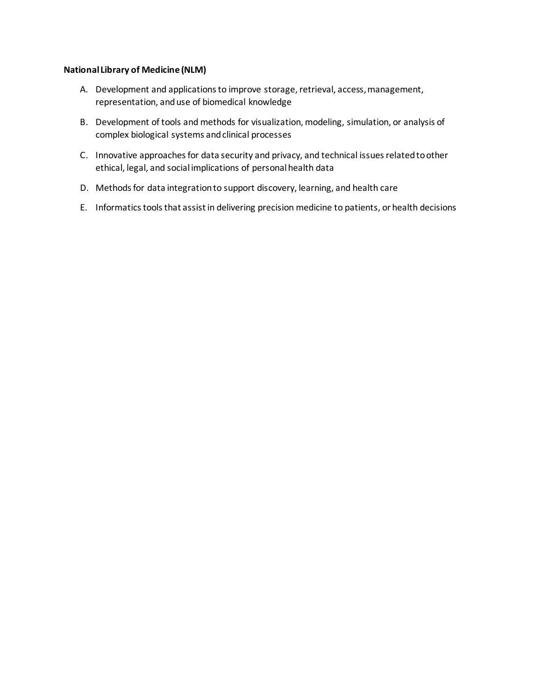#### **National Library of Medicine (NLM)**

- A. Development and applications to improve storage, retrieval, access, management, representation, and use of biomedical knowledge
- B. Development of tools and methods for visualization, modeling, simulation, or analysis of complex biological systems and clinical processes
- C. Innovative approaches for data security and privacy, and technical issues related to other ethical, legal, and social implications of personal health data
- D. Methods for data integration to support discovery, learning, and health care
- E. Informatics tools that assist in delivering precision medicine to patients, or health decisions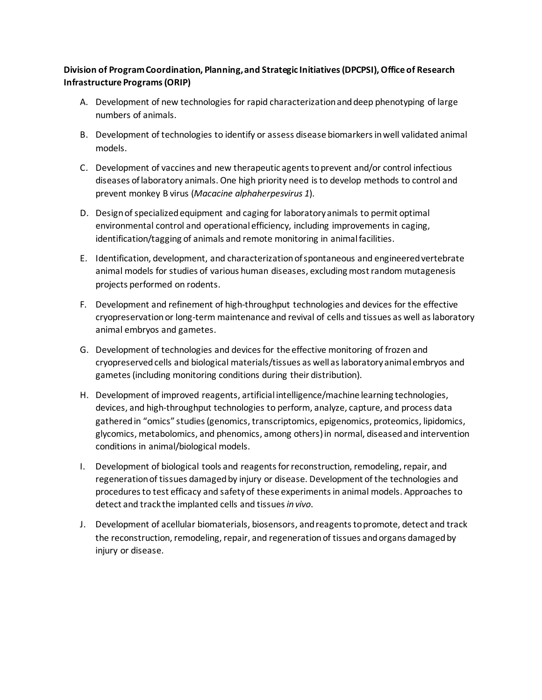## **Division of Program Coordination, Planning, and Strategic Initiatives (DPCPSI), Office of Research Infrastructure Programs (ORIP)**

- A. Development of new technologies for rapid characterization and deep phenotyping of large numbers of animals.
- B. Development of technologies to identify or assess disease biomarkers in well validated animal models.
- C. Development of vaccines and new therapeutic agents to prevent and/or control infectious diseases of laboratory animals. One high priority need is to develop methods to control and prevent monkey B virus (*Macacine alphaherpesvirus 1*).
- D. Design of specialized equipment and caging for laboratory animals to permit optimal environmental control and operational efficiency, including improvements in caging, identification/tagging of animals and remote monitoring in animal facilities.
- E. Identification, development, and characterization of spontaneous and engineered vertebrate animal models for studies of various human diseases, excluding most random mutagenesis projects performed on rodents.
- F. Development and refinement of high-throughput technologies and devices for the effective cryopreservation or long-term maintenance and revival of cells and tissues as well as laboratory animal embryos and gametes.
- G. Development of technologies and devices for the effective monitoring of frozen and cryopreserved cells and biological materials/tissues as well as laboratory animal embryos and gametes (including monitoring conditions during their distribution).
- H. Development of improved reagents, artificial intelligence/machine learning technologies, devices, and high-throughput technologies to perform, analyze, capture, and process data gathered in "omics" studies (genomics, transcriptomics, epigenomics, proteomics, lipidomics, glycomics, metabolomics, and phenomics, among others) in normal, diseased and intervention conditions in animal/biological models.
- I. Development of biological tools and reagents for reconstruction, remodeling, repair, and regeneration of tissues damaged by injury or disease. Development of the technologies and procedures to test efficacy and safety of these experiments in animal models. Approaches to detect and track the implanted cells and tissues *in vivo*.
- J. Development of acellular biomaterials, biosensors, and reagents to promote, detect and track the reconstruction, remodeling, repair, and regeneration of tissues and organs damaged by injury or disease.